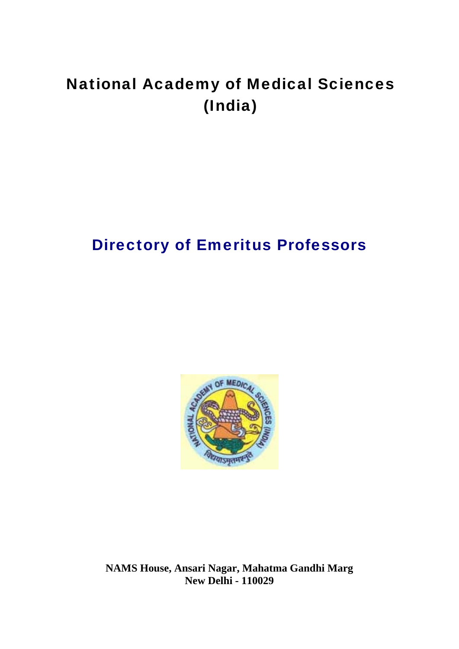# National Academy of Medical Sciences (India)

# Directory of Emeritus Professors



**NAMS House, Ansari Nagar, Mahatma Gandhi Marg New Delhi - 110029**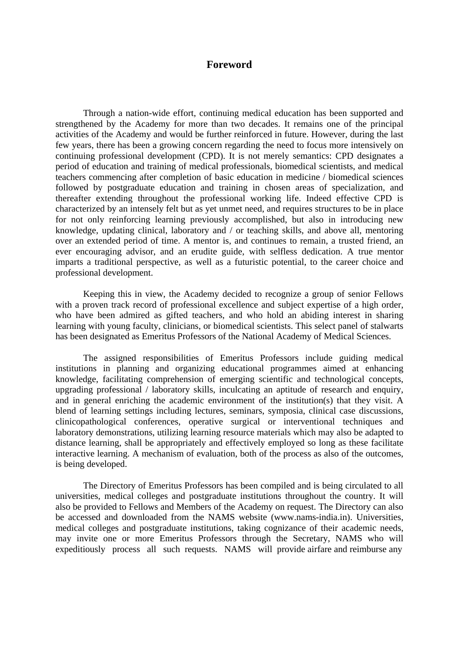#### **Foreword**

Through a nation-wide effort, continuing medical education has been supported and strengthened by the Academy for more than two decades. It remains one of the principal activities of the Academy and would be further reinforced in future. However, during the last few years, there has been a growing concern regarding the need to focus more intensively on continuing professional development (CPD). It is not merely semantics: CPD designates a period of education and training of medical professionals, biomedical scientists, and medical teachers commencing after completion of basic education in medicine / biomedical sciences followed by postgraduate education and training in chosen areas of specialization, and thereafter extending throughout the professional working life. Indeed effective CPD is characterized by an intensely felt but as yet unmet need, and requires structures to be in place for not only reinforcing learning previously accomplished, but also in introducing new knowledge, updating clinical, laboratory and / or teaching skills, and above all, mentoring over an extended period of time. A mentor is, and continues to remain, a trusted friend, an ever encouraging advisor, and an erudite guide, with selfless dedication. A true mentor imparts a traditional perspective, as well as a futuristic potential, to the career choice and professional development.

Keeping this in view, the Academy decided to recognize a group of senior Fellows with a proven track record of professional excellence and subject expertise of a high order, who have been admired as gifted teachers, and who hold an abiding interest in sharing learning with young faculty, clinicians, or biomedical scientists. This select panel of stalwarts has been designated as Emeritus Professors of the National Academy of Medical Sciences.

The assigned responsibilities of Emeritus Professors include guiding medical institutions in planning and organizing educational programmes aimed at enhancing knowledge, facilitating comprehension of emerging scientific and technological concepts, upgrading professional / laboratory skills, inculcating an aptitude of research and enquiry, and in general enriching the academic environment of the institution(s) that they visit. A blend of learning settings including lectures, seminars, symposia, clinical case discussions, clinicopathological conferences, operative surgical or interventional techniques and laboratory demonstrations, utilizing learning resource materials which may also be adapted to distance learning, shall be appropriately and effectively employed so long as these facilitate interactive learning. A mechanism of evaluation, both of the process as also of the outcomes, is being developed.

The Directory of Emeritus Professors has been compiled and is being circulated to all universities, medical colleges and postgraduate institutions throughout the country. It will also be provided to Fellows and Members of the Academy on request. The Directory can also be accessed and downloaded from the NAMS website (www.nams-india.in). Universities, medical colleges and postgraduate institutions, taking cognizance of their academic needs, may invite one or more Emeritus Professors through the Secretary, NAMS who will expeditiously process all such requests. NAMS will provide airfare and reimburse any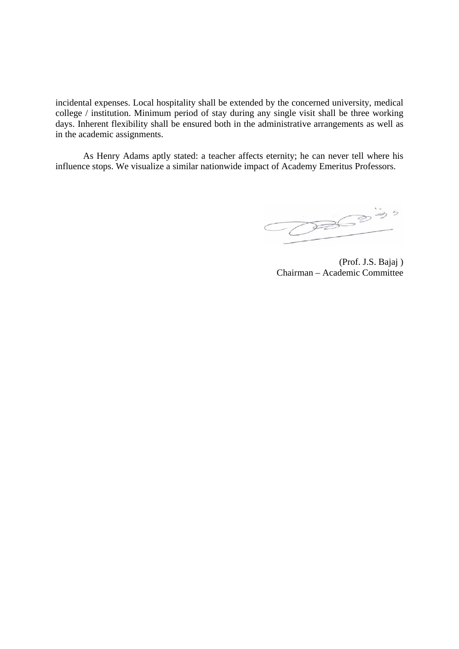incidental expenses. Local hospitality shall be extended by the concerned university, medical college / institution. Minimum period of stay during any single visit shall be three working days. Inherent flexibility shall be ensured both in the administrative arrangements as well as in the academic assignments.

As Henry Adams aptly stated: a teacher affects eternity; he can never tell where his influence stops. We visualize a similar nationwide impact of Academy Emeritus Professors.

 $\overline{\bigcirc}$ 

(Prof. J.S. Bajaj ) Chairman – Academic Committee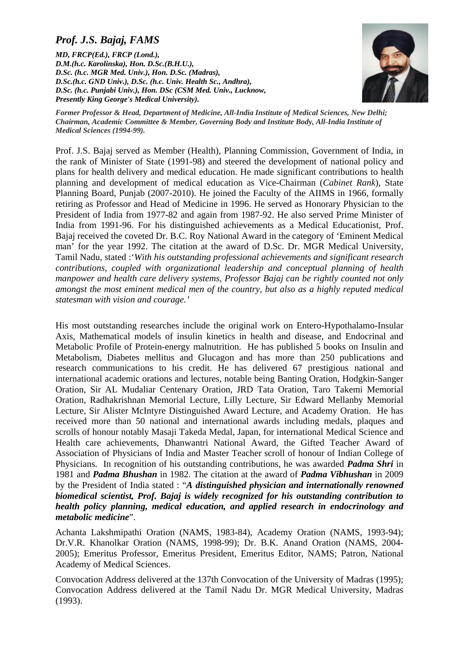# *Prof. J.S. Bajaj, FAMS*

*MD, FRCP(Ed.), FRCP (Lond.), D.M.(h.c. Karolinska), Hon. D.Sc.(B.H.U.), D.Sc. (h.c. MGR Med. Univ.), Hon. D.Sc. (Madras), D.Sc.(h.c. GND Univ.), D.Sc. (h.c. Univ. Health Sc., Andhra), D.Sc. (h.c. Punjabi Univ.), Hon. DSc (CSM Med. Univ., Lucknow, Presently King George's Medical University).* 



*Former Professor & Head, Department of Medicine, All-India Institute of Medical Sciences, New Delhi; Chairman, Academic Committee & Member, Governing Body and Institute Body, All-India Institute of Medical Sciences (1994-99).* 

Prof. J.S. Bajaj served as Member (Health), Planning Commission, Government of India, in the rank of Minister of State (1991-98) and steered the development of national policy and plans for health delivery and medical education. He made significant contributions to health planning and development of medical education as Vice-Chairman (*Cabinet Rank*), State Planning Board, Punjab (2007-2010). He joined the Faculty of the AIIMS in 1966, formally retiring as Professor and Head of Medicine in 1996. He served as Honorary Physician to the President of India from 1977-82 and again from 1987-92. He also served Prime Minister of India from 1991-96. For his distinguished achievements as a Medical Educationist, Prof. Bajaj received the coveted Dr. B.C. Roy National Award in the category of 'Eminent Medical man' for the year 1992. The citation at the award of D.Sc. Dr. MGR Medical University, Tamil Nadu, stated :'*With his outstanding professional achievements and significant research contributions, coupled with organizational leadership and conceptual planning of health manpower and health care delivery systems, Professor Bajaj can be rightly counted not only amongst the most eminent medical men of the country, but also as a highly reputed medical statesman with vision and courage.'* 

His most outstanding researches include the original work on Entero-Hypothalamo-Insular Axis, Mathematical models of insulin kinetics in health and disease, and Endocrinal and Metabolic Profile of Protein-energy malnutrition. He has published 5 books on Insulin and Metabolism, Diabetes mellitus and Glucagon and has more than 250 publications and research communications to his credit. He has delivered 67 prestigious national and international academic orations and lectures, notable being Banting Oration, Hodgkin-Sanger Oration, Sir AL Mudaliar Centenary Oration, JRD Tata Oration, Taro Takemi Memorial Oration, Radhakrishnan Memorial Lecture, Lilly Lecture, Sir Edward Mellanby Memorial Lecture, Sir Alister McIntyre Distinguished Award Lecture, and Academy Oration. He has received more than 50 national and international awards including medals, plaques and scrolls of honour notably Masaji Takeda Medal, Japan, for international Medical Science and Health care achievements, Dhanwantri National Award, the Gifted Teacher Award of Association of Physicians of India and Master Teacher scroll of honour of Indian College of Physicians. In recognition of his outstanding contributions, he was awarded *Padma Shri* in 1981 and *Padma Bhushan* in 1982. The citation at the award of *Padma Vibhushan* in 2009 by the President of India stated : "*A distinguished physician and internationally renowned biomedical scientist, Prof. Bajaj is widely recognized for his outstanding contribution to health policy planning, medical education, and applied research in endocrinology and metabolic medicine*".

Achanta Lakshmipathi Oration (NAMS, 1983-84), Academy Oration (NAMS, 1993-94); Dr.V.R. Khanolkar Oration (NAMS, 1998-99); Dr. B.K. Anand Oration (NAMS, 2004- 2005); Emeritus Professor, Emeritus President, Emeritus Editor, NAMS; Patron, National Academy of Medical Sciences.

Convocation Address delivered at the 137th Convocation of the University of Madras (1995); Convocation Address delivered at the Tamil Nadu Dr. MGR Medical University, Madras (1993).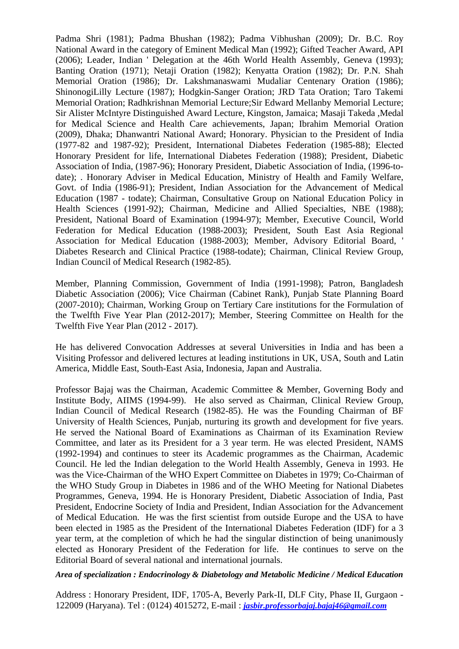Padma Shri (1981); Padma Bhushan (1982); Padma Vibhushan (2009); Dr. B.C. Roy National Award in the category of Eminent Medical Man (1992); Gifted Teacher Award, API (2006); Leader, Indian ' Delegation at the 46th World Health Assembly, Geneva (1993); Banting Oration (1971); Netaji Oration (1982); Kenyatta Oration (1982); Dr. P.N. Shah Memorial Oration (1986); Dr. Lakshmanaswami Mudaliar Centenary Oration (1986); ShinonogiLilly Lecture (1987); Hodgkin-Sanger Oration; JRD Tata Oration; Taro Takemi Memorial Oration; Radhkrishnan Memorial Lecture;Sir Edward Mellanby Memorial Lecture; Sir Alister McIntyre Distinguished Award Lecture, Kingston, Jamaica; Masaji Takeda ,Medal for Medical Science and Health Care achievements, Japan; Ibrahim Memorial Oration (2009), Dhaka; Dhanwantri National Award; Honorary. Physician to the President of India (1977-82 and 1987-92); President, International Diabetes Federation (1985-88); Elected Honorary President for life, International Diabetes Federation (1988); President, Diabetic Association of India, (1987-96); Honorary President, Diabetic Association of India, (1996-todate); . Honorary Adviser in Medical Education, Ministry of Health and Family Welfare, Govt. of India (1986-91); President, Indian Association for the Advancement of Medical Education (1987 - todate); Chairman, Consultative Group on National Education Policy in Health Sciences (1991-92); Chairman, Medicine and Allied Specialties, NBE (1988); President, National Board of Examination (1994-97); Member, Executive Council, World Federation for Medical Education (1988-2003); President, South East Asia Regional Association for Medical Education (1988-2003); Member, Advisory Editorial Board, ' Diabetes Research and Clinical Practice (1988-todate); Chairman, Clinical Review Group, Indian Council of Medical Research (1982-85).

Member, Planning Commission, Government of India (1991-1998); Patron, Bangladesh Diabetic Association (2006); Vice Chairman (Cabinet Rank), Punjab State Planning Board (2007-2010); Chairman, Working Group on Tertiary Care institutions for the Formulation of the Twelfth Five Year Plan (2012-2017); Member, Steering Committee on Health for the Twelfth Five Year Plan (2012 - 2017).

He has delivered Convocation Addresses at several Universities in India and has been a Visiting Professor and delivered lectures at leading institutions in UK, USA, South and Latin America, Middle East, South-East Asia, Indonesia, Japan and Australia.

Professor Bajaj was the Chairman, Academic Committee & Member, Governing Body and Institute Body, AIIMS (1994-99). He also served as Chairman, Clinical Review Group, Indian Council of Medical Research (1982-85). He was the Founding Chairman of BF University of Health Sciences, Punjab, nurturing its growth and development for five years. He served the National Board of Examinations as Chairman of its Examination Review Committee, and later as its President for a 3 year term. He was elected President, NAMS (1992-1994) and continues to steer its Academic programmes as the Chairman, Academic Council. He led the Indian delegation to the World Health Assembly, Geneva in 1993. He was the Vice-Chairman of the WHO Expert Committee on Diabetes in 1979; Co-Chairman of the WHO Study Group in Diabetes in 1986 and of the WHO Meeting for National Diabetes Programmes, Geneva, 1994. He is Honorary President, Diabetic Association of India, Past President, Endocrine Society of India and President, Indian Association for the Advancement of Medical Education. He was the first scientist from outside Europe and the USA to have been elected in 1985 as the President of the International Diabetes Federation (IDF) for a 3 year term, at the completion of which he had the singular distinction of being unanimously elected as Honorary President of the Federation for life. He continues to serve on the Editorial Board of several national and international journals.

*Area of specialization : Endocrinology & Diabetology and Metabolic Medicine / Medical Education* 

Address : Honorary President, IDF, 1705-A, Beverly Park-II, DLF City, Phase II, Gurgaon - 122009 (Haryana). Tel : (0124) 4015272, E-mail : *[jasbir.professorbajaj.bajaj46@gmail.com](mailto:jasbir.professorbajaj.bajaj46@gmail.com)*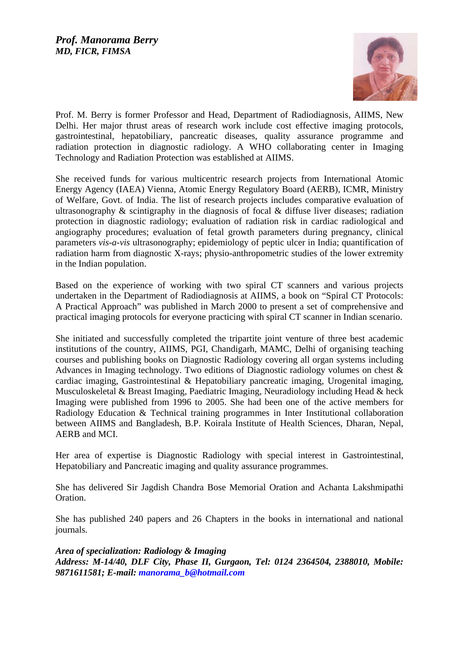

Prof. M. Berry is former Professor and Head, Department of Radiodiagnosis, AIIMS, New Delhi. Her major thrust areas of research work include cost effective imaging protocols, gastrointestinal, hepatobiliary, pancreatic diseases, quality assurance programme and radiation protection in diagnostic radiology. A WHO collaborating center in Imaging Technology and Radiation Protection was established at AIIMS.

She received funds for various multicentric research projects from International Atomic Energy Agency (IAEA) Vienna, Atomic Energy Regulatory Board (AERB), ICMR, Ministry of Welfare, Govt. of India. The list of research projects includes comparative evaluation of ultrasonography & scintigraphy in the diagnosis of focal & diffuse liver diseases; radiation protection in diagnostic radiology; evaluation of radiation risk in cardiac radiological and angiography procedures; evaluation of fetal growth parameters during pregnancy, clinical parameters *vis-a-vis* ultrasonography; epidemiology of peptic ulcer in India; quantification of radiation harm from diagnostic X-rays; physio-anthropometric studies of the lower extremity in the Indian population.

Based on the experience of working with two spiral CT scanners and various projects undertaken in the Department of Radiodiagnosis at AIIMS, a book on "Spiral CT Protocols: A Practical Approach" was published in March 2000 to present a set of comprehensive and practical imaging protocols for everyone practicing with spiral CT scanner in Indian scenario.

She initiated and successfully completed the tripartite joint venture of three best academic institutions of the country, AIIMS, PGI, Chandigarh, MAMC, Delhi of organising teaching courses and publishing books on Diagnostic Radiology covering all organ systems including Advances in Imaging technology. Two editions of Diagnostic radiology volumes on chest & cardiac imaging, Gastrointestinal & Hepatobiliary pancreatic imaging, Urogenital imaging, Musculoskeletal & Breast Imaging, Paediatric Imaging, Neuradiology including Head & heck Imaging were published from 1996 to 2005. She had been one of the active members for Radiology Education & Technical training programmes in Inter Institutional collaboration between AIIMS and Bangladesh, B.P. Koirala Institute of Health Sciences, Dharan, Nepal, AERB and MCI.

Her area of expertise is Diagnostic Radiology with special interest in Gastrointestinal, Hepatobiliary and Pancreatic imaging and quality assurance programmes.

She has delivered Sir Jagdish Chandra Bose Memorial Oration and Achanta Lakshmipathi Oration.

She has published 240 papers and 26 Chapters in the books in international and national journals.

*Area of specialization: Radiology & Imaging Address: M-14/40, DLF City, Phase II, Gurgaon, Tel: 0124 2364504, 2388010, Mobile: 9871611581; E-mail: [manorama\\_b@hotmail.com](mailto:manorama_b@hotmail.com)*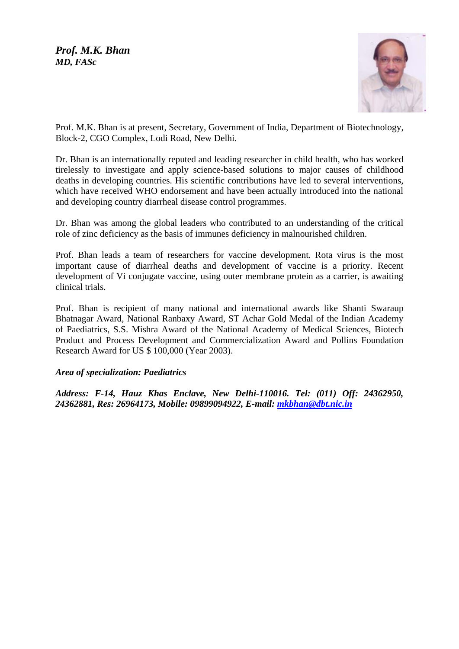*Prof. M.K. Bhan MD, FASc*



Prof. M.K. Bhan is at present, Secretary, Government of India, Department of Biotechnology, Block-2, CGO Complex, Lodi Road, New Delhi.

Dr. Bhan is an internationally reputed and leading researcher in child health, who has worked tirelessly to investigate and apply science-based solutions to major causes of childhood deaths in developing countries. His scientific contributions have led to several interventions, which have received WHO endorsement and have been actually introduced into the national and developing country diarrheal disease control programmes.

Dr. Bhan was among the global leaders who contributed to an understanding of the critical role of zinc deficiency as the basis of immunes deficiency in malnourished children.

Prof. Bhan leads a team of researchers for vaccine development. Rota virus is the most important cause of diarrheal deaths and development of vaccine is a priority. Recent development of Vi conjugate vaccine, using outer membrane protein as a carrier, is awaiting clinical trials.

Prof. Bhan is recipient of many national and international awards like Shanti Swaraup Bhatnagar Award, National Ranbaxy Award, ST Achar Gold Medal of the Indian Academy of Paediatrics, S.S. Mishra Award of the National Academy of Medical Sciences, Biotech Product and Process Development and Commercialization Award and Pollins Foundation Research Award for US \$ 100,000 (Year 2003).

#### *Area of specialization: Paediatrics*

*Address: F-14, Hauz Khas Enclave, New Delhi-110016. Tel: (011) Off: 24362950, 24362881, Res: 26964173, Mobile: 09899094922, E-mail: [mkbhan@dbt.nic.in](mailto:mkbhan@dbt.nic.in)*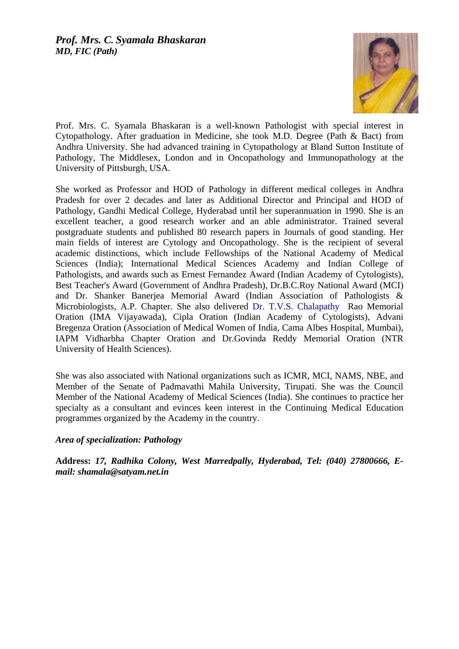

Prof. Mrs. C. Syamala Bhaskaran is a well-known Pathologist with special interest in Cytopathology. After graduation in Medicine, she took M.D. Degree (Path & Bact) from Andhra University. She had advanced training in Cytopathology at Bland Sutton Institute of Pathology, The Middlesex, London and in Oncopathology and Immunopathology at the University of Pittsburgh, USA.

She worked as Professor and HOD of Pathology in different medical colleges in Andhra Pradesh for over 2 decades and later as Additional Director and Principal and HOD of Pathology, Gandhi Medical College, Hyderabad until her superannuation in 1990. She is an excellent teacher, a good research worker and an able administrator. Trained several postgraduate students and published 80 research papers in Journals of good standing. Her main fields of interest are Cytology and Oncopathology. She is the recipient of several academic distinctions, which include Fellowships of the National Academy of Medical Sciences (India); International Medical Sciences Academy and Indian College of Pathologists, and awards such as Ernest Fernandez Award (Indian Academy of Cytologists), Best Teacher's Award (Government of Andhra Pradesh), Dr.B.C.Roy National Award (MCI) and Dr. Shanker Banerjea Memorial Award (Indian Association of Pathologists & Microbiologists, A.P. Chapter. She also delivered [Dr. T.V.S. Chalapathy](http://dr.t.v.s.chalapathy/) Rao Memorial Oration (IMA Vijayawada), Cipla Oration (Indian Academy of Cytologists), Advani Bregenza Oration (Association of Medical Women of India, Cama Albes Hospital, Mumbai), IAPM Vidharbha Chapter Oration and Dr.Govinda Reddy Memorial Oration (NTR University of Health Sciences).

She was also associated with National organizations such as ICMR, MCI, NAMS, NBE, and Member of the Senate of Padmavathi Mahila University, Tirupati. She was the Council Member of the National Academy of Medical Sciences (India). She continues to practice her specialty as a consultant and evinces keen interest in the Continuing Medical Education programmes organized by the Academy in the country.

## *Area of specialization: Pathology*

**Address:** *17, Radhika Colony, West Marredpally, Hyderabad, Tel: (040) 27800666, Email: shamala@satyam.net.in*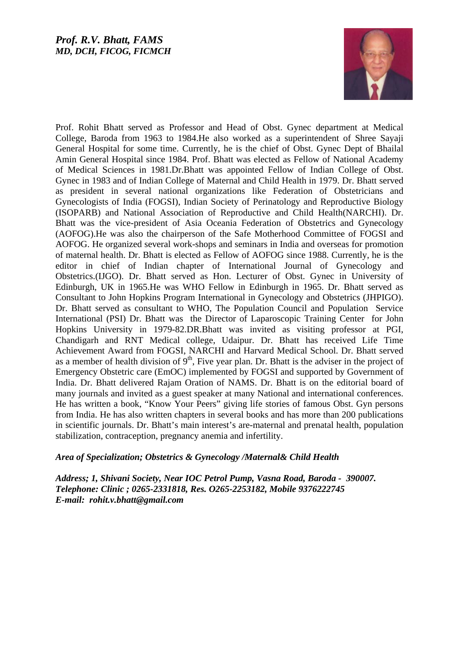

Prof. Rohit Bhatt served as Professor and Head of Obst. Gynec department at Medical College, Baroda from 1963 to 1984.He also worked as a superintendent of Shree Sayaji General Hospital for some time. Currently, he is the chief of Obst. Gynec Dept of Bhailal Amin General Hospital since 1984. Prof. Bhatt was elected as Fellow of National Academy of Medical Sciences in 1981.Dr.Bhatt was appointed Fellow of Indian College of Obst. Gynec in 1983 and of Indian College of Maternal and Child Health in 1979. Dr. Bhatt served as president in several national organizations like Federation of Obstetricians and Gynecologists of India (FOGSI), Indian Society of Perinatology and Reproductive Biology (ISOPARB) and National Association of Reproductive and Child Health(NARCHI). Dr. Bhatt was the vice-president of Asia Oceania Federation of Obstetrics and Gynecology (AOFOG).He was also the chairperson of the Safe Motherhood Committee of FOGSI and AOFOG. He organized several work-shops and seminars in India and overseas for promotion of maternal health. Dr. Bhatt is elected as Fellow of AOFOG since 1988. Currently, he is the editor in chief of Indian chapter of International Journal of Gynecology and Obstetrics.(IJGO). Dr. Bhatt served as Hon. Lecturer of Obst. Gynec in University of Edinburgh, UK in 1965.He was WHO Fellow in Edinburgh in 1965. Dr. Bhatt served as Consultant to John Hopkins Program International in Gynecology and Obstetrics (JHPIGO). Dr. Bhatt served as consultant to WHO, The Population Council and Population Service International (PSI) Dr. Bhatt was the Director of Laparoscopic Training Center for John Hopkins University in 1979-82.DR.Bhatt was invited as visiting professor at PGI, Chandigarh and RNT Medical college, Udaipur. Dr. Bhatt has received Life Time Achievement Award from FOGSI, NARCHI and Harvard Medical School. Dr. Bhatt served as a member of health division of  $9<sup>th</sup>$ , Five year plan. Dr. Bhatt is the adviser in the project of Emergency Obstetric care (EmOC) implemented by FOGSI and supported by Government of India. Dr. Bhatt delivered Rajam Oration of NAMS. Dr. Bhatt is on the editorial board of many journals and invited as a guest speaker at many National and international conferences. He has written a book, "Know Your Peers" giving life stories of famous Obst. Gyn persons from India. He has also written chapters in several books and has more than 200 publications in scientific journals. Dr. Bhatt's main interest's are-maternal and prenatal health, population stabilization, contraception, pregnancy anemia and infertility.

#### *Area of Specialization; Obstetrics & Gynecology /Maternal& Child Health*

*Address; 1, Shivani Society, Near IOC Petrol Pump, Vasna Road, Baroda - 390007. Telephone: Clinic ; 0265-2331818, Res. O265-2253182, Mobile 9376222745 E-mail: rohit.v.bhatt@gmail.com*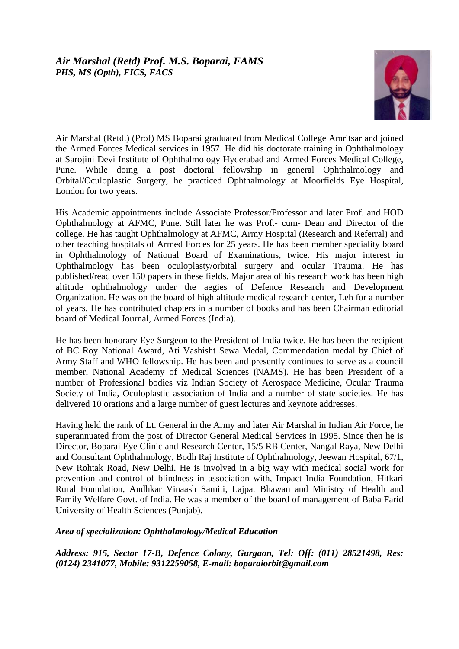

Air Marshal (Retd.) (Prof) MS Boparai graduated from Medical College Amritsar and joined the Armed Forces Medical services in 1957. He did his doctorate training in Ophthalmology at Sarojini Devi Institute of Ophthalmology Hyderabad and Armed Forces Medical College, Pune. While doing a post doctoral fellowship in general Ophthalmology and Orbital/Oculoplastic Surgery, he practiced Ophthalmology at Moorfields Eye Hospital, London for two years.

His Academic appointments include Associate Professor/Professor and later Prof. and HOD Ophthalmology at AFMC, Pune. Still later he was Prof.- cum- Dean and Director of the college. He has taught Ophthalmology at AFMC, Army Hospital (Research and Referral) and other teaching hospitals of Armed Forces for 25 years. He has been member speciality board in Ophthalmology of National Board of Examinations, twice. His major interest in Ophthalmology has been oculoplasty/orbital surgery and ocular Trauma. He has published/read over 150 papers in these fields. Major area of his research work has been high altitude ophthalmology under the aegies of Defence Research and Development Organization. He was on the board of high altitude medical research center, Leh for a number of years. He has contributed chapters in a number of books and has been Chairman editorial board of Medical Journal, Armed Forces (India).

He has been honorary Eye Surgeon to the President of India twice. He has been the recipient of BC Roy National Award, Ati Vashisht Sewa Medal, Commendation medal by Chief of Army Staff and WHO fellowship. He has been and presently continues to serve as a council member, National Academy of Medical Sciences (NAMS). He has been President of a number of Professional bodies viz Indian Society of Aerospace Medicine, Ocular Trauma Society of India, Oculoplastic association of India and a number of state societies. He has delivered 10 orations and a large number of guest lectures and keynote addresses.

Having held the rank of Lt. General in the Army and later Air Marshal in Indian Air Force, he superannuated from the post of Director General Medical Services in 1995. Since then he is Director, Boparai Eye Clinic and Research Center, 15/5 RB Center, Nangal Raya, New Delhi and Consultant Ophthalmology, Bodh Raj Institute of Ophthalmology, Jeewan Hospital, 67/1, New Rohtak Road, New Delhi. He is involved in a big way with medical social work for prevention and control of blindness in association with, Impact India Foundation, Hitkari Rural Foundation, Andhkar Vinaash Samiti, Lajpat Bhawan and Ministry of Health and Family Welfare Govt. of India. He was a member of the board of management of Baba Farid University of Health Sciences (Punjab).

## *Area of specialization: Ophthalmology/Medical Education*

*Address: 915, Sector 17-B, Defence Colony, Gurgaon, Tel: Off: (011) 28521498, Res: (0124) 2341077, Mobile: 9312259058, E-mail: boparaiorbit@gmail.com*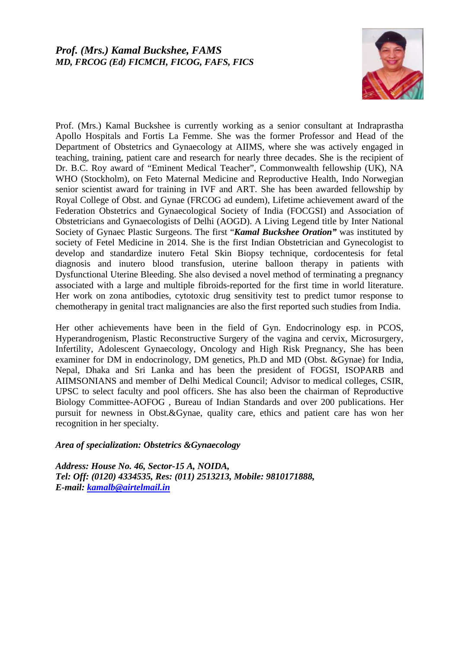## *Prof. (Mrs.) Kamal Buckshee, FAMS MD, FRCOG (Ed) FICMCH, FICOG, FAFS, FICS*



Prof. (Mrs.) Kamal Buckshee is currently working as a senior consultant at Indraprastha Apollo Hospitals and Fortis La Femme. She was the former Professor and Head of the Department of Obstetrics and Gynaecology at AIIMS, where she was actively engaged in teaching, training, patient care and research for nearly three decades. She is the recipient of Dr. B.C. Roy award of "Eminent Medical Teacher", Commonwealth fellowship (UK), NA WHO (Stockholm), on Feto Maternal Medicine and Reproductive Health, Indo Norwegian senior scientist award for training in IVF and ART. She has been awarded fellowship by Royal College of Obst. and Gynae (FRCOG ad eundem), Lifetime achievement award of the Federation Obstetrics and Gynaecological Society of India (FOCGSI) and Association of Obstetricians and Gynaecologists of Delhi (AOGD). A Living Legend title by Inter National Society of Gynaec Plastic Surgeons. The first "*Kamal Buckshee Oration"* was instituted by society of Fetel Medicine in 2014. She is the first Indian Obstetrician and Gynecologist to develop and standardize inutero Fetal Skin Biopsy technique, cordocentesis for fetal diagnosis and inutero blood transfusion, uterine balloon therapy in patients with Dysfunctional Uterine Bleeding. She also devised a novel method of terminating a pregnancy associated with a large and multiple fibroids-reported for the first time in world literature. Her work on zona antibodies, cytotoxic drug sensitivity test to predict tumor response to chemotherapy in genital tract malignancies are also the first reported such studies from India.

Her other achievements have been in the field of Gyn. Endocrinology esp. in PCOS, Hyperandrogenism, Plastic Reconstructive Surgery of the vagina and cervix, Microsurgery, Infertility, Adolescent Gynaecology, Oncology and High Risk Pregnancy, She has been examiner for DM in endocrinology, DM genetics, Ph.D and MD (Obst. &Gynae) for India, Nepal, Dhaka and Sri Lanka and has been the president of FOGSI, ISOPARB and AIIMSONIANS and member of Delhi Medical Council; Advisor to medical colleges, CSIR, UPSC to select faculty and pool officers. She has also been the chairman of Reproductive Biology Committee-AOFOG , Bureau of Indian Standards and over 200 publications. Her pursuit for newness in Obst.&Gynae, quality care, ethics and patient care has won her recognition in her specialty.

#### *Area of specialization: Obstetrics &Gynaecology*

*Address: House No. 46, Sector-15 A, NOIDA, Tel: Off: (0120) 4334535, Res: (011) 2513213, Mobile: 9810171888, E-mail: [kamalb@airtelmail.in](mailto:kamalb@airtelmail.in)*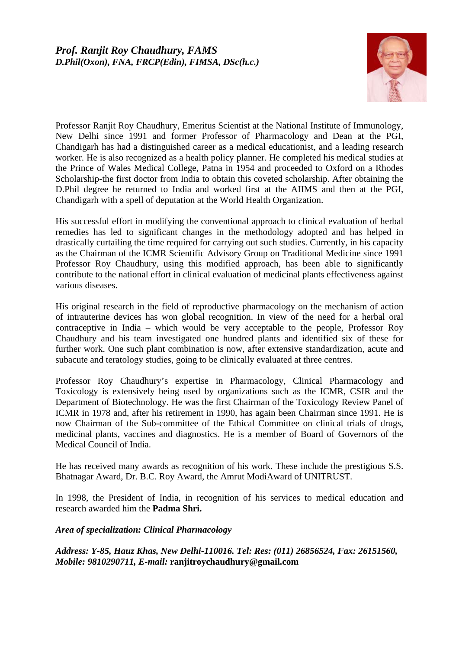

Professor Ranjit Roy Chaudhury, Emeritus Scientist at the National Institute of Immunology, New Delhi since 1991 and former Professor of Pharmacology and Dean at the PGI, Chandigarh has had a distinguished career as a medical educationist, and a leading research worker. He is also recognized as a health policy planner. He completed his medical studies at the Prince of Wales Medical College, Patna in 1954 and proceeded to Oxford on a Rhodes Scholarship-the first doctor from India to obtain this coveted scholarship. After obtaining the D.Phil degree he returned to India and worked first at the AIIMS and then at the PGI, Chandigarh with a spell of deputation at the World Health Organization.

His successful effort in modifying the conventional approach to clinical evaluation of herbal remedies has led to significant changes in the methodology adopted and has helped in drastically curtailing the time required for carrying out such studies. Currently, in his capacity as the Chairman of the ICMR Scientific Advisory Group on Traditional Medicine since 1991 Professor Roy Chaudhury, using this modified approach, has been able to significantly contribute to the national effort in clinical evaluation of medicinal plants effectiveness against various diseases.

His original research in the field of reproductive pharmacology on the mechanism of action of intrauterine devices has won global recognition. In view of the need for a herbal oral contraceptive in India – which would be very acceptable to the people, Professor Roy Chaudhury and his team investigated one hundred plants and identified six of these for further work. One such plant combination is now, after extensive standardization, acute and subacute and teratology studies, going to be clinically evaluated at three centres.

Professor Roy Chaudhury's expertise in Pharmacology, Clinical Pharmacology and Toxicology is extensively being used by organizations such as the ICMR, CSIR and the Department of Biotechnology. He was the first Chairman of the Toxicology Review Panel of ICMR in 1978 and, after his retirement in 1990, has again been Chairman since 1991. He is now Chairman of the Sub-committee of the Ethical Committee on clinical trials of drugs, medicinal plants, vaccines and diagnostics. He is a member of Board of Governors of the Medical Council of India.

He has received many awards as recognition of his work. These include the prestigious S.S. Bhatnagar Award, Dr. B.C. Roy Award, the Amrut ModiAward of UNITRUST.

In 1998, the President of India, in recognition of his services to medical education and research awarded him the **Padma Shri.**

## *Area of specialization: Clinical Pharmacology*

*Address: Y-85, Hauz Khas, New Delhi-110016. Tel: Res: (011) 26856524, Fax: 26151560, Mobile: 9810290711, E-mail:* **ranjitroychaudhury@gmail.com**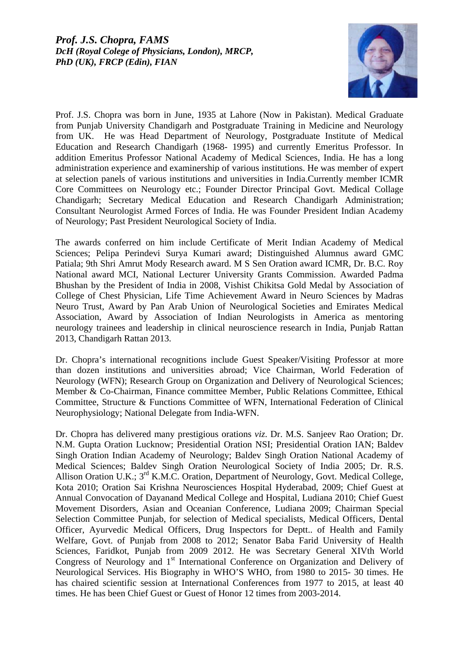

Prof. J.S. Chopra was born in June, 1935 at Lahore (Now in Pakistan). Medical Graduate from Punjab University Chandigarh and Postgraduate Training in Medicine and Neurology from UK. He was Head Department of Neurology, Postgraduate Institute of Medical Education and Research Chandigarh (1968- 1995) and currently Emeritus Professor. In addition Emeritus Professor National Academy of Medical Sciences, India. He has a long administration experience and examinership of various institutions. He was member of expert at selection panels of various institutions and universities in India.Currently member ICMR Core Committees on Neurology etc.; Founder Director Principal Govt. Medical Collage Chandigarh; Secretary Medical Education and Research Chandigarh Administration; Consultant Neurologist Armed Forces of India. He was Founder President Indian Academy of Neurology; Past President Neurological Society of India.

The awards conferred on him include Certificate of Merit Indian Academy of Medical Sciences; Pelipa Perindevi Surya Kumari award; Distinguished Alumnus award GMC Patiala; 9th Shri Amrut Mody Research award. M S Sen Oration award ICMR, Dr. B.C. Roy National award MCI, National Lecturer University Grants Commission. Awarded Padma Bhushan by the President of India in 2008, Vishist Chikitsa Gold Medal by Association of College of Chest Physician, Life Time Achievement Award in Neuro Sciences by Madras Neuro Trust, Award by Pan Arab Union of Neurological Societies and Emirates Medical Association, Award by Association of Indian Neurologists in America as mentoring neurology trainees and leadership in clinical neuroscience research in India, Punjab Rattan 2013, Chandigarh Rattan 2013.

Dr. Chopra's international recognitions include Guest Speaker/Visiting Professor at more than dozen institutions and universities abroad; Vice Chairman, World Federation of Neurology (WFN); Research Group on Organization and Delivery of Neurological Sciences; Member & Co-Chairman, Finance committee Member, Public Relations Committee, Ethical Committee, Structure & Functions Committee of WFN, International Federation of Clinical Neurophysiology; National Delegate from India-WFN.

Dr. Chopra has delivered many prestigious orations *viz*. Dr. M.S. Sanjeev Rao Oration; Dr. N.M. Gupta Oration Lucknow; Presidential Oration NSI; Presidential Oration IAN; Baldev Singh Oration Indian Academy of Neurology; Baldev Singh Oration National Academy of Medical Sciences; Baldev Singh Oration Neurological Society of India 2005; Dr. R.S. Allison Oration U.K.; 3<sup>rd</sup> K.M.C. Oration, Department of Neurology, Govt. Medical College, Kota 2010; Oration Sai Krishna Neurosciences Hospital Hyderabad, 2009; Chief Guest at Annual Convocation of Dayanand Medical College and Hospital, Ludiana 2010; Chief Guest Movement Disorders, Asian and Oceanian Conference, Ludiana 2009; Chairman Special Selection Committee Punjab, for selection of Medical specialists, Medical Officers, Dental Officer, Ayurvedic Medical Officers, Drug Inspectors for Deptt.. of Health and Family Welfare, Govt. of Punjab from 2008 to 2012; Senator Baba Farid University of Health Sciences, Faridkot, Punjab from 2009 2012. He was Secretary General XIVth World Congress of Neurology and 1<sup>st</sup> International Conference on Organization and Delivery of Neurological Services. His Biography in WHO'S WHO, from 1980 to 2015- 30 times. He has chaired scientific session at International Conferences from 1977 to 2015, at least 40 times. He has been Chief Guest or Guest of Honor 12 times from 2003-2014.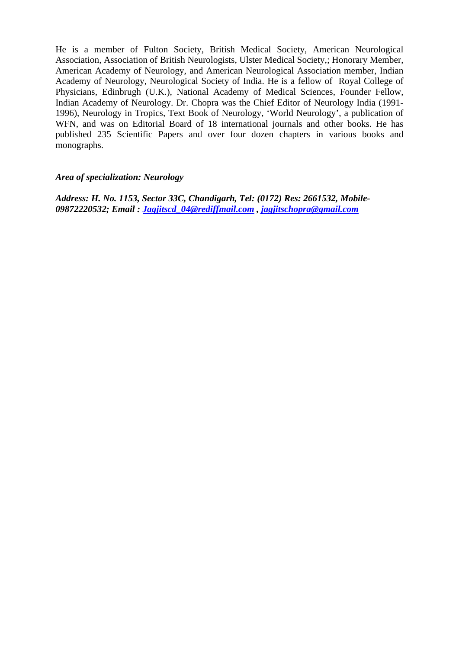He is a member of Fulton Society, British Medical Society, American Neurological Association, Association of British Neurologists, Ulster Medical Society,; Honorary Member, American Academy of Neurology, and American Neurological Association member, Indian Academy of Neurology, Neurological Society of India. He is a fellow of Royal College of Physicians, Edinbrugh (U.K.), National Academy of Medical Sciences, Founder Fellow, Indian Academy of Neurology. Dr. Chopra was the Chief Editor of Neurology India (1991- 1996), Neurology in Tropics, Text Book of Neurology, 'World Neurology', a publication of WFN, and was on Editorial Board of 18 international journals and other books. He has published 235 Scientific Papers and over four dozen chapters in various books and monographs.

#### *Area of specialization: Neurology*

*Address: H. No. 1153, Sector 33C, Chandigarh, Tel: (0172) Res: 2661532, Mobile-09872220532; Email : [Jagjitscd\\_04@rediffmail.com](mailto:Jagjitscd_04@rediffmail.com) , [jagjitschopra@gmail.com](mailto:jagjitschopra@gmail.com)*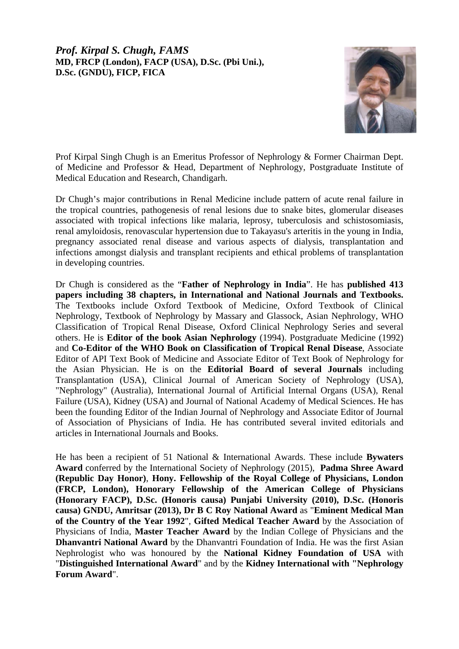## *Prof. Kirpal S. Chugh, FAMS*  **MD, FRCP (London), FACP (USA), D.Sc. (Pbi Uni.), D.Sc. (GNDU), FICP, FICA**



Prof Kirpal Singh Chugh is an Emeritus Professor of Nephrology & Former Chairman Dept. of Medicine and Professor & Head, Department of Nephrology, Postgraduate Institute of Medical Education and Research, Chandigarh.

Dr Chugh's major contributions in Renal Medicine include pattern of acute renal failure in the tropical countries, pathogenesis of renal lesions due to snake bites, glomerular diseases associated with tropical infections like malaria, leprosy, tuberculosis and schistosomiasis, renal amyloidosis, renovascular hypertension due to Takayasu's arteritis in the young in India, pregnancy associated renal disease and various aspects of dialysis, transplantation and infections amongst dialysis and transplant recipients and ethical problems of transplantation in developing countries.

Dr Chugh is considered as the "**Father of Nephrology in India**". He has **published 413 papers including 38 chapters, in International and National Journals and Textbooks.**  The Textbooks include Oxford Textbook of Medicine, Oxford Textbook of Clinical Nephrology, Textbook of Nephrology by Massary and Glassock, Asian Nephrology, WHO Classification of Tropical Renal Disease, Oxford Clinical Nephrology Series and several others. He is **Editor of the book Asian Nephrology** (1994). Postgraduate Medicine (1992) and **Co-Editor of the WHO Book on Classification of Tropical Renal Disease**, Associate Editor of API Text Book of Medicine and Associate Editor of Text Book of Nephrology for the Asian Physician. He is on the **Editorial Board of several Journals** including Transplantation (USA), Clinical Journal of American Society of Nephrology (USA), "Nephrology" (Australia), International Journal of Artificial Internal Organs (USA), Renal Failure (USA), Kidney (USA) and Journal of National Academy of Medical Sciences. He has been the founding Editor of the Indian Journal of Nephrology and Associate Editor of Journal of Association of Physicians of India. He has contributed several invited editorials and articles in International Journals and Books.

He has been a recipient of 51 National & International Awards. These include **Bywaters Award** conferred by the International Society of Nephrology (2015), **Padma Shree Award (Republic Day Honor)**, **Hony. Fellowship of the Royal College of Physicians, London (FRCP, London), Honorary Fellowship of the American College of Physicians (Honorary FACP), D.Sc. (Honoris causa) Punjabi University (2010), D.Sc. (Honoris causa) GNDU, Amritsar (2013), Dr B C Roy National Award** as "**Eminent Medical Man of the Country of the Year 1992**", **Gifted Medical Teacher Award** by the Association of Physicians of India, **Master Teacher Award** by the Indian College of Physicians and the **Dhanvantri National Award** by the Dhanvantri Foundation of India. He was the first Asian Nephrologist who was honoured by the **National Kidney Foundation of USA** with "**Distinguished International Award**" and by the **Kidney International with "Nephrology Forum Award**".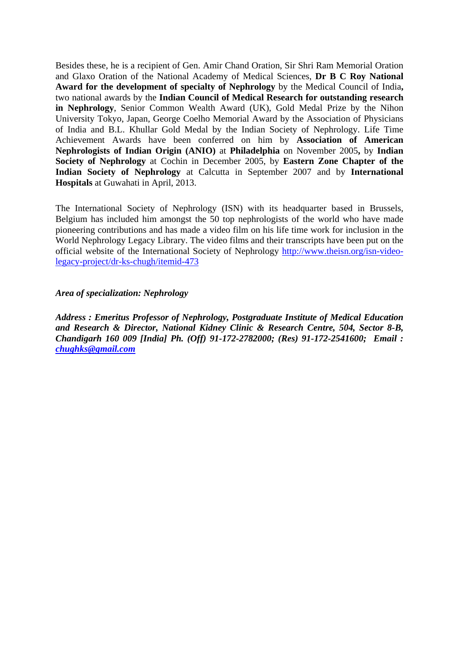Besides these, he is a recipient of Gen. Amir Chand Oration, Sir Shri Ram Memorial Oration and Glaxo Oration of the National Academy of Medical Sciences, **Dr B C Roy National Award for the development of specialty of Nephrology** by the Medical Council of India**,**  two national awards by the **Indian Council of Medical Research for outstanding research in Nephrology**, Senior Common Wealth Award (UK), Gold Medal Prize by the Nihon University Tokyo, Japan, George Coelho Memorial Award by the Association of Physicians of India and B.L. Khullar Gold Medal by the Indian Society of Nephrology. Life Time Achievement Awards have been conferred on him by **Association of American Nephrologists of Indian Origin (ANIO)** at **Philadelphia** on November 2005**,** by **Indian Society of Nephrology** at Cochin in December 2005, by **Eastern Zone Chapter of the Indian Society of Nephrology** at Calcutta in September 2007 and by **International Hospitals** at Guwahati in April, 2013.

The International Society of Nephrology (ISN) with its headquarter based in Brussels, Belgium has included him amongst the 50 top nephrologists of the world who have made pioneering contributions and has made a video film on his life time work for inclusion in the World Nephrology Legacy Library. The video films and their transcripts have been put on the official website of the International Society of Nephrology [http://www.theisn.org/isn-video](http://www.theisn.org/isn-video-legacy-project/dr-ks-chugh/itemid-473)[legacy-project/dr-ks-chugh/itemid-473](http://www.theisn.org/isn-video-legacy-project/dr-ks-chugh/itemid-473)

#### *Area of specialization: Nephrology*

*Address : Emeritus Professor of Nephrology, Postgraduate Institute of Medical Education and Research & Director, National Kidney Clinic & Research Centre, 504, Sector 8-B, Chandigarh 160 009 [India] Ph. (Off) 91-172-2782000; (Res) 91-172-2541600; Email : [chughks@gmail.com](mailto:chughks@gmail.com)*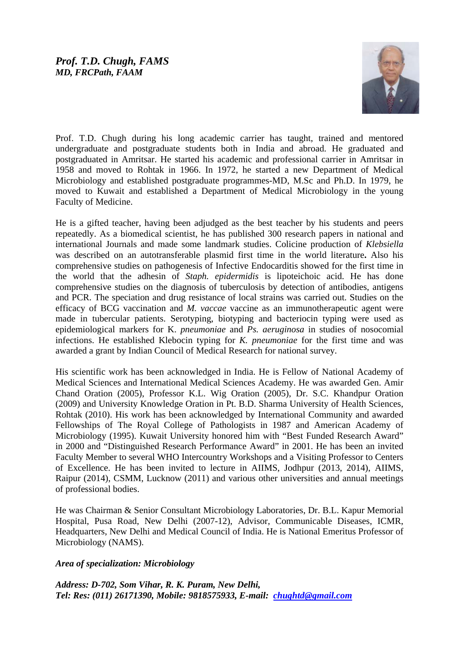## *Prof. T.D. Chugh, FAMS MD, FRCPath, FAAM*



Prof. T.D. Chugh during his long academic carrier has taught, trained and mentored undergraduate and postgraduate students both in India and abroad. He graduated and postgraduated in Amritsar. He started his academic and professional carrier in Amritsar in 1958 and moved to Rohtak in 1966. In 1972, he started a new Department of Medical Microbiology and established postgraduate programmes-MD, M.Sc and Ph.D. In 1979, he moved to Kuwait and established a Department of Medical Microbiology in the young Faculty of Medicine.

He is a gifted teacher, having been adjudged as the best teacher by his students and peers repeatedly. As a biomedical scientist, he has published 300 research papers in national and international Journals and made some landmark studies. Colicine production of *Klebsiella*  was described on an autotransferable plasmid first time in the world literature**.** Also his comprehensive studies on pathogenesis of Infective Endocarditis showed for the first time in the world that the adhesin of *Staph. epidermidis* is lipoteichoic acid. He has done comprehensive studies on the diagnosis of tuberculosis by detection of antibodies, antigens and PCR. The speciation and drug resistance of local strains was carried out. Studies on the efficacy of BCG vaccination and *M. vaccae* vaccine as an immunotherapeutic agent were made in tubercular patients. Serotyping, biotyping and bacteriocin typing were used as epidemiological markers for K. *pneumoniae* and *Ps. aeruginosa* in studies of nosocomial infections. He established Klebocin typing for *K. pneumoniae* for the first time and was awarded a grant by Indian Council of Medical Research for national survey.

His scientific work has been acknowledged in India. He is Fellow of National Academy of Medical Sciences and International Medical Sciences Academy. He was awarded Gen. Amir Chand Oration (2005), Professor K.L. Wig Oration (2005), Dr. S.C. Khandpur Oration (2009) and University Knowledge Oration in Pt. B.D. Sharma University of Health Sciences, Rohtak (2010). His work has been acknowledged by International Community and awarded Fellowships of The Royal College of Pathologists in 1987 and American Academy of Microbiology (1995). Kuwait University honored him with "Best Funded Research Award" in 2000 and "Distinguished Research Performance Award" in 2001. He has been an invited Faculty Member to several WHO Intercountry Workshops and a Visiting Professor to Centers of Excellence. He has been invited to lecture in AIIMS, Jodhpur (2013, 2014), AIIMS, Raipur (2014), CSMM, Lucknow (2011) and various other universities and annual meetings of professional bodies.

He was Chairman & Senior Consultant Microbiology Laboratories, Dr. B.L. Kapur Memorial Hospital, Pusa Road, New Delhi (2007-12), Advisor, Communicable Diseases, ICMR, Headquarters, New Delhi and Medical Council of India. He is National Emeritus Professor of Microbiology (NAMS).

#### *Area of specialization: Microbiology*

*Address: D-702, Som Vihar, R. K. Puram, New Delhi, Tel: Res: (011) 26171390, Mobile: 9818575933, E-mail: [chughtd@gmail.com](mailto:chughtd@gmail.com)*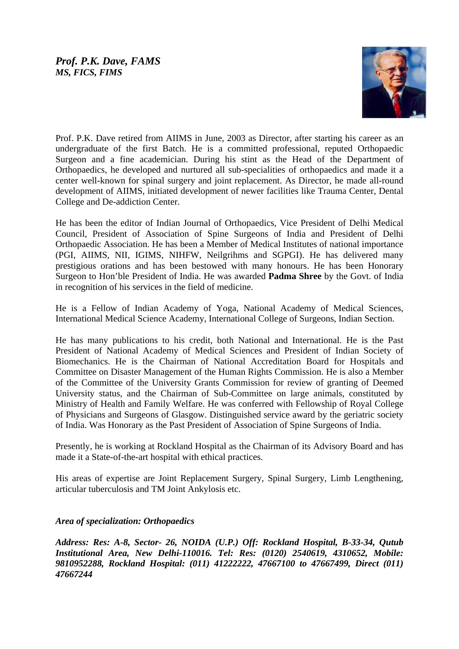## *Prof. P.K. Dave, FAMS MS, FICS, FIMS*



Prof. P.K. Dave retired from AIIMS in June, 2003 as Director, after starting his career as an undergraduate of the first Batch. He is a committed professional, reputed Orthopaedic Surgeon and a fine academician. During his stint as the Head of the Department of Orthopaedics, he developed and nurtured all sub-specialities of orthopaedics and made it a center well-known for spinal surgery and joint replacement. As Director, he made all-round development of AIIMS, initiated development of newer facilities like Trauma Center, Dental College and De-addiction Center.

He has been the editor of Indian Journal of Orthopaedics, Vice President of Delhi Medical Council, President of Association of Spine Surgeons of India and President of Delhi Orthopaedic Association. He has been a Member of Medical Institutes of national importance (PGI, AIIMS, NII, IGIMS, NIHFW, Neilgrihms and SGPGI). He has delivered many prestigious orations and has been bestowed with many honours. He has been Honorary Surgeon to Hon'ble President of India. He was awarded **Padma Shree** by the Govt. of India in recognition of his services in the field of medicine.

He is a Fellow of Indian Academy of Yoga, National Academy of Medical Sciences, International Medical Science Academy, International College of Surgeons, Indian Section.

He has many publications to his credit, both National and International. He is the Past President of National Academy of Medical Sciences and President of Indian Society of Biomechanics. He is the Chairman of National Accreditation Board for Hospitals and Committee on Disaster Management of the Human Rights Commission. He is also a Member of the Committee of the University Grants Commission for review of granting of Deemed University status, and the Chairman of Sub-Committee on large animals, constituted by Ministry of Health and Family Welfare. He was conferred with Fellowship of Royal College of Physicians and Surgeons of Glasgow. Distinguished service award by the geriatric society of India. Was Honorary as the Past President of Association of Spine Surgeons of India.

Presently, he is working at Rockland Hospital as the Chairman of its Advisory Board and has made it a State-of-the-art hospital with ethical practices.

His areas of expertise are Joint Replacement Surgery, Spinal Surgery, Limb Lengthening, articular tuberculosis and TM Joint Ankylosis etc.

## *Area of specialization: Orthopaedics*

*Address: Res: A-8, Sector- 26, NOIDA (U.P.) Off: Rockland Hospital, B-33-34, Qutub Institutional Area, New Delhi-110016. Tel: Res: (0120) 2540619, 4310652, Mobile: 9810952288, Rockland Hospital: (011) 41222222, 47667100 to 47667499, Direct (011) 47667244*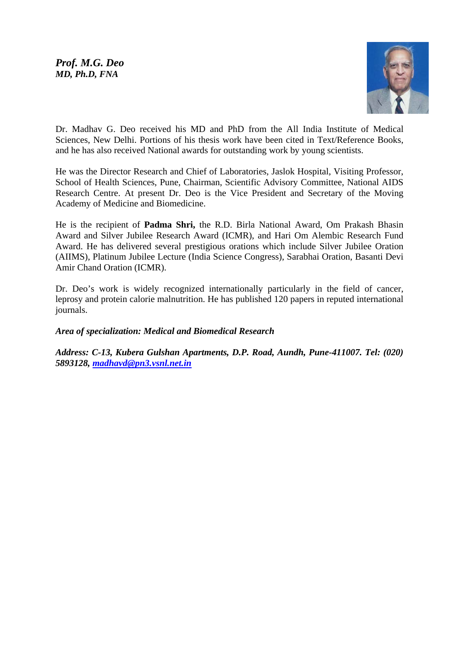

Dr. Madhav G. Deo received his MD and PhD from the All India Institute of Medical Sciences, New Delhi. Portions of his thesis work have been cited in Text/Reference Books, and he has also received National awards for outstanding work by young scientists.

He was the Director Research and Chief of Laboratories, Jaslok Hospital, Visiting Professor, School of Health Sciences, Pune, Chairman, Scientific Advisory Committee, National AIDS Research Centre. At present Dr. Deo is the Vice President and Secretary of the Moving Academy of Medicine and Biomedicine.

He is the recipient of **Padma Shri,** the R.D. Birla National Award, Om Prakash Bhasin Award and Silver Jubilee Research Award (ICMR), and Hari Om Alembic Research Fund Award. He has delivered several prestigious orations which include Silver Jubilee Oration (AIIMS), Platinum Jubilee Lecture (India Science Congress), Sarabhai Oration, Basanti Devi Amir Chand Oration (ICMR).

Dr. Deo's work is widely recognized internationally particularly in the field of cancer, leprosy and protein calorie malnutrition. He has published 120 papers in reputed international journals.

## *Area of specialization: Medical and Biomedical Research*

*Address: C-13, Kubera Gulshan Apartments, D.P. Road, Aundh, Pune-411007. Tel: (020) 5893128, [madhavd@pn3.vsnl.net.in](mailto:madhavd@pn3.vsnl.net.in)*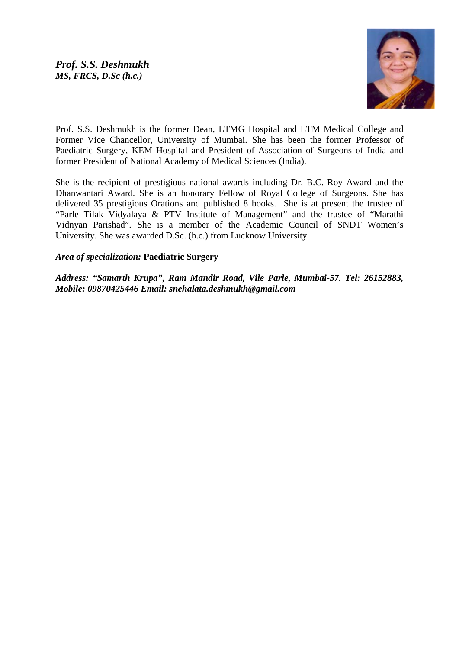

Prof. S.S. Deshmukh is the former Dean, LTMG Hospital and LTM Medical College and Former Vice Chancellor, University of Mumbai. She has been the former Professor of Paediatric Surgery, KEM Hospital and President of Association of Surgeons of India and former President of National Academy of Medical Sciences (India).

She is the recipient of prestigious national awards including Dr. B.C. Roy Award and the Dhanwantari Award. She is an honorary Fellow of Royal College of Surgeons. She has delivered 35 prestigious Orations and published 8 books. She is at present the trustee of "Parle Tilak Vidyalaya & PTV Institute of Management" and the trustee of "Marathi Vidnyan Parishad". She is a member of the Academic Council of SNDT Women's University. She was awarded D.Sc. (h.c.) from Lucknow University.

## *Area of specialization:* **Paediatric Surgery**

*Address: "Samarth Krupa", Ram Mandir Road, Vile Parle, Mumbai-57. Tel: 26152883, Mobile: 09870425446 Email: [snehalata.deshmukh@g](mailto:snehalata.deshmukh@)mail.com*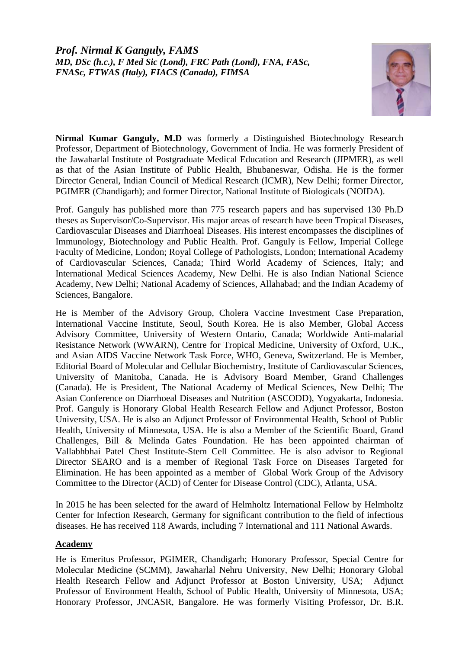

**Nirmal Kumar Ganguly, M.D** was formerly a Distinguished Biotechnology Research Professor, Department of Biotechnology, Government of India. He was formerly President of the Jawaharlal Institute of Postgraduate Medical Education and Research (JIPMER), as well as that of the Asian Institute of Public Health, Bhubaneswar, Odisha. He is the former Director General, Indian Council of Medical Research (ICMR), New Delhi; former Director, PGIMER (Chandigarh); and former Director, National Institute of Biologicals (NOIDA).

Prof. Ganguly has published more than 775 research papers and has supervised 130 Ph.D theses as Supervisor/Co-Supervisor. His major areas of research have been Tropical Diseases, Cardiovascular Diseases and Diarrhoeal Diseases. His interest encompasses the disciplines of Immunology, Biotechnology and Public Health. Prof. Ganguly is Fellow, Imperial College Faculty of Medicine, London; Royal College of Pathologists, London; International Academy of Cardiovascular Sciences, Canada; Third World Academy of Sciences, Italy; and International Medical Sciences Academy, New Delhi. He is also Indian National Science Academy, New Delhi; National Academy of Sciences, Allahabad; and the Indian Academy of Sciences, Bangalore.

He is Member of the Advisory Group, Cholera Vaccine Investment Case Preparation, International Vaccine Institute, Seoul, South Korea. He is also Member, Global Access Advisory Committee, University of Western Ontario, Canada; Worldwide Anti-malarial Resistance Network (WWARN), Centre for Tropical Medicine, University of Oxford, U.K., and Asian AIDS Vaccine Network Task Force, WHO, Geneva, Switzerland. He is Member, Editorial Board of Molecular and Cellular Biochemistry, Institute of Cardiovascular Sciences, University of Manitoba, Canada. He is Advisory Board Member, Grand Challenges (Canada). He is President, The National Academy of Medical Sciences, New Delhi; The Asian Conference on Diarrhoeal Diseases and Nutrition (ASCODD), Yogyakarta, Indonesia. Prof. Ganguly is Honorary Global Health Research Fellow and Adjunct Professor, Boston University, USA. He is also an Adjunct Professor of Environmental Health, School of Public Health, University of Minnesota, USA. He is also a Member of the Scientific Board, Grand Challenges, Bill & Melinda Gates Foundation. He has been appointed chairman of Vallabhbhai Patel Chest Institute-Stem Cell Committee. He is also advisor to Regional Director SEARO and is a member of Regional Task Force on Diseases Targeted for Elimination. He has been appointed as a member of Global Work Group of the Advisory Committee to the Director (ACD) of Center for Disease Control (CDC), Atlanta, USA.

In 2015 he has been selected for the award of Helmholtz International Fellow by Helmholtz Center for Infection Research, Germany for significant contribution to the field of infectious diseases. He has received 118 Awards, including 7 International and 111 National Awards.

## **Academy**

He is Emeritus Professor, PGIMER, Chandigarh; Honorary Professor, Special Centre for Molecular Medicine (SCMM), Jawaharlal Nehru University, New Delhi; Honorary Global Health Research Fellow and Adjunct Professor at Boston University, USA; Adjunct Professor of Environment Health, School of Public Health, University of Minnesota, USA; Honorary Professor, JNCASR, Bangalore. He was formerly Visiting Professor, Dr. B.R.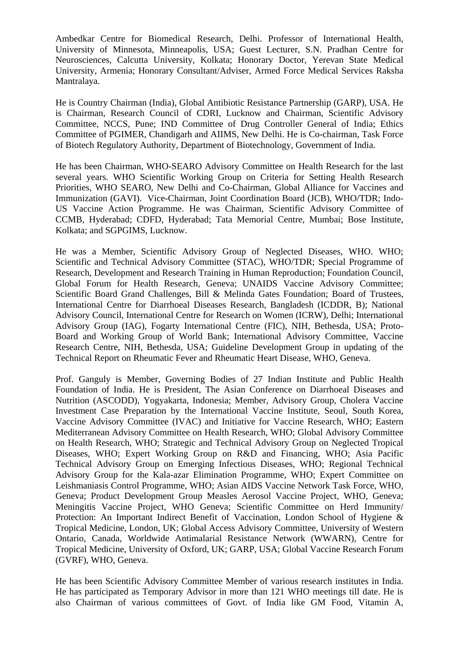Ambedkar Centre for Biomedical Research, Delhi. Professor of International Health, University of Minnesota, Minneapolis, USA; Guest Lecturer, S.N. Pradhan Centre for Neurosciences, Calcutta University, Kolkata; Honorary Doctor, Yerevan State Medical University, Armenia; Honorary Consultant/Adviser, Armed Force Medical Services Raksha Mantralaya.

He is Country Chairman (India), Global Antibiotic Resistance Partnership (GARP), USA. He is Chairman, Research Council of CDRI, Lucknow and Chairman, Scientific Advisory Committee, NCCS, Pune; IND Committee of Drug Controller General of India; Ethics Committee of PGIMER, Chandigarh and AIIMS, New Delhi. He is Co-chairman, Task Force of Biotech Regulatory Authority, Department of Biotechnology, Government of India.

He has been Chairman, WHO-SEARO Advisory Committee on Health Research for the last several years. WHO Scientific Working Group on Criteria for Setting Health Research Priorities, WHO SEARO, New Delhi and Co-Chairman, Global Alliance for Vaccines and Immunization (GAVI). Vice-Chairman, Joint Coordination Board (JCB), WHO/TDR; Indo-US Vaccine Action Programme. He was Chairman, Scientific Advisory Committee of CCMB, Hyderabad; CDFD, Hyderabad; Tata Memorial Centre, Mumbai; Bose Institute, Kolkata; and SGPGIMS, Lucknow.

He was a Member, Scientific Advisory Group of Neglected Diseases, WHO. WHO; Scientific and Technical Advisory Committee (STAC), WHO/TDR; Special Programme of Research, Development and Research Training in Human Reproduction; Foundation Council, Global Forum for Health Research, Geneva; UNAIDS Vaccine Advisory Committee; Scientific Board Grand Challenges, Bill & Melinda Gates Foundation; Board of Trustees, International Centre for Diarrhoeal Diseases Research, Bangladesh (ICDDR, B); National Advisory Council, International Centre for Research on Women (ICRW), Delhi; International Advisory Group (IAG), Fogarty International Centre (FIC), NIH, Bethesda, USA; Proto-Board and Working Group of World Bank; International Advisory Committee, Vaccine Research Centre, NIH, Bethesda, USA; Guideline Development Group in updating of the Technical Report on Rheumatic Fever and Rheumatic Heart Disease, WHO, Geneva.

Prof. Ganguly is Member, Governing Bodies of 27 Indian Institute and Public Health Foundation of India. He is President, The Asian Conference on Diarrhoeal Diseases and Nutrition (ASCODD), Yogyakarta, Indonesia; Member, Advisory Group, Cholera Vaccine Investment Case Preparation by the International Vaccine Institute, Seoul, South Korea, Vaccine Advisory Committee (IVAC) and Initiative for Vaccine Research, WHO; Eastern Mediterranean Advisory Committee on Health Research, WHO; Global Advisory Committee on Health Research, WHO; Strategic and Technical Advisory Group on Neglected Tropical Diseases, WHO; Expert Working Group on R&D and Financing, WHO; Asia Pacific Technical Advisory Group on Emerging Infectious Diseases, WHO; Regional Technical Advisory Group for the Kala-azar Elimination Programme, WHO; Expert Committee on Leishmaniasis Control Programme, WHO; Asian AIDS Vaccine Network Task Force, WHO, Geneva; Product Development Group Measles Aerosol Vaccine Project, WHO, Geneva; Meningitis Vaccine Project, WHO Geneva; Scientific Committee on Herd Immunity/ Protection: An Important Indirect Benefit of Vaccination, London School of Hygiene & Tropical Medicine, London, UK; Global Access Advisory Committee, University of Western Ontario, Canada, Worldwide Antimalarial Resistance Network (WWARN), Centre for Tropical Medicine, University of Oxford, UK; GARP, USA; Global Vaccine Research Forum (GVRF), WHO, Geneva.

He has been Scientific Advisory Committee Member of various research institutes in India. He has participated as Temporary Advisor in more than 121 WHO meetings till date. He is also Chairman of various committees of Govt. of India like GM Food, Vitamin A,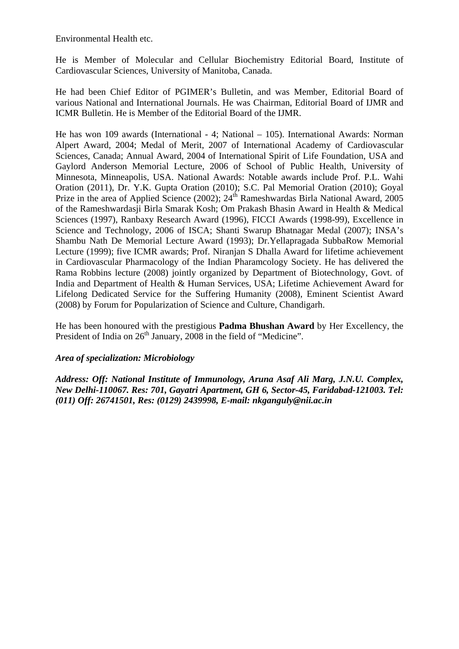Environmental Health etc.

He is Member of Molecular and Cellular Biochemistry Editorial Board, Institute of Cardiovascular Sciences, University of Manitoba, Canada.

He had been Chief Editor of PGIMER's Bulletin, and was Member, Editorial Board of various National and International Journals. He was Chairman, Editorial Board of IJMR and ICMR Bulletin. He is Member of the Editorial Board of the IJMR.

He has won 109 awards (International - 4; National – 105). International Awards: Norman Alpert Award, 2004; Medal of Merit, 2007 of International Academy of Cardiovascular Sciences, Canada; Annual Award, 2004 of International Spirit of Life Foundation, USA and Gaylord Anderson Memorial Lecture, 2006 of School of Public Health, University of Minnesota, Minneapolis, USA. National Awards: Notable awards include Prof. P.L. Wahi Oration (2011), Dr. Y.K. Gupta Oration (2010); S.C. Pal Memorial Oration (2010); Goyal Prize in the area of Applied Science (2002); 24<sup>th</sup> Rameshwardas Birla National Award, 2005 of the Rameshwardasji Birla Smarak Kosh; Om Prakash Bhasin Award in Health & Medical Sciences (1997), Ranbaxy Research Award (1996), FICCI Awards (1998-99), Excellence in Science and Technology, 2006 of ISCA; Shanti Swarup Bhatnagar Medal (2007); INSA's Shambu Nath De Memorial Lecture Award (1993); Dr.Yellapragada SubbaRow Memorial Lecture (1999); five ICMR awards; Prof. Niranjan S Dhalla Award for lifetime achievement in Cardiovascular Pharmacology of the Indian Pharamcology Society. He has delivered the Rama Robbins lecture (2008) jointly organized by Department of Biotechnology, Govt. of India and Department of Health & Human Services, USA; Lifetime Achievement Award for Lifelong Dedicated Service for the Suffering Humanity (2008), Eminent Scientist Award (2008) by Forum for Popularization of Science and Culture, Chandigarh.

He has been honoured with the prestigious **Padma Bhushan Award** by Her Excellency, the President of India on 26<sup>th</sup> January, 2008 in the field of "Medicine".

#### *Area of specialization: Microbiology*

*Address: Off: National Institute of Immunology, Aruna Asaf Ali Marg, J.N.U. Complex, New Delhi-110067. Res: 701, Gayatri Apartment, GH 6, Sector-45, Faridabad-121003. Tel: (011) Off: 26741501, Res: (0129) 2439998, E-mail: nkganguly@nii.ac.in*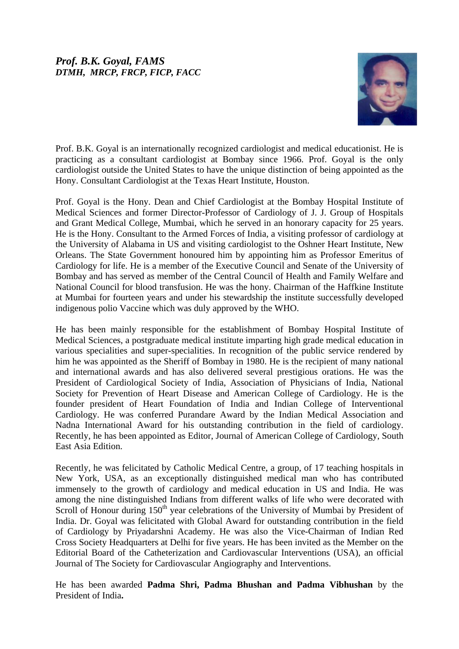# *Prof. B.K. Goyal, FAMS DTMH, MRCP, FRCP, FICP, FACC*



Prof. B.K. Goyal is an internationally recognized cardiologist and medical educationist. He is practicing as a consultant cardiologist at Bombay since 1966. Prof. Goyal is the only cardiologist outside the United States to have the unique distinction of being appointed as the Hony. Consultant Cardiologist at the Texas Heart Institute, Houston.

Prof. Goyal is the Hony. Dean and Chief Cardiologist at the Bombay Hospital Institute of Medical Sciences and former Director-Professor of Cardiology of J. J. Group of Hospitals and Grant Medical College, Mumbai, which he served in an honorary capacity for 25 years. He is the Hony. Consultant to the Armed Forces of India, a visiting professor of cardiology at the University of Alabama in US and visiting cardiologist to the Oshner Heart Institute, New Orleans. The State Government honoured him by appointing him as Professor Emeritus of Cardiology for life. He is a member of the Executive Council and Senate of the University of Bombay and has served as member of the Central Council of Health and Family Welfare and National Council for blood transfusion. He was the hony. Chairman of the Haffkine Institute at Mumbai for fourteen years and under his stewardship the institute successfully developed indigenous polio Vaccine which was duly approved by the WHO.

He has been mainly responsible for the establishment of Bombay Hospital Institute of Medical Sciences, a postgraduate medical institute imparting high grade medical education in various specialities and super-specialities. In recognition of the public service rendered by him he was appointed as the Sheriff of Bombay in 1980. He is the recipient of many national and international awards and has also delivered several prestigious orations. He was the President of Cardiological Society of India, Association of Physicians of India, National Society for Prevention of Heart Disease and American College of Cardiology. He is the founder president of Heart Foundation of India and Indian College of Interventional Cardiology. He was conferred Purandare Award by the Indian Medical Association and Nadna International Award for his outstanding contribution in the field of cardiology. Recently, he has been appointed as Editor, Journal of American College of Cardiology, South East Asia Edition.

Recently, he was felicitated by Catholic Medical Centre, a group, of 17 teaching hospitals in New York, USA, as an exceptionally distinguished medical man who has contributed immensely to the growth of cardiology and medical education in US and India. He was among the nine distinguished Indians from different walks of life who were decorated with Scroll of Honour during 150<sup>th</sup> year celebrations of the University of Mumbai by President of India. Dr. Goyal was felicitated with Global Award for outstanding contribution in the field of Cardiology by Priyadarshni Academy. He was also the Vice-Chairman of Indian Red Cross Society Headquarters at Delhi for five years. He has been invited as the Member on the Editorial Board of the Catheterization and Cardiovascular Interventions (USA), an official Journal of The Society for Cardiovascular Angiography and Interventions.

He has been awarded **Padma Shri, Padma Bhushan and Padma Vibhushan** by the President of India**.**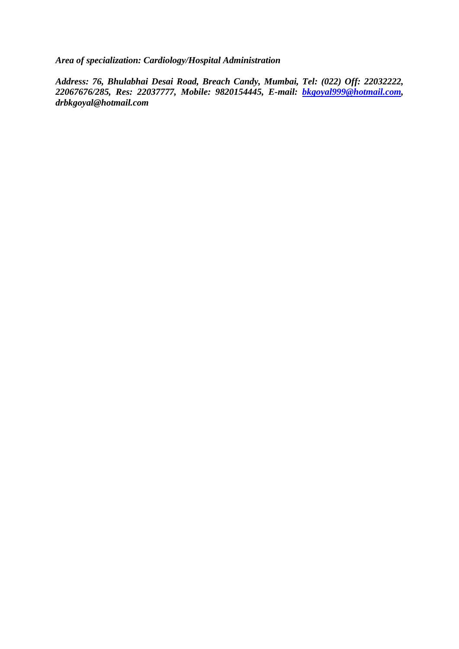*Area of specialization: Cardiology/Hospital Administration* 

*Address: 76, Bhulabhai Desai Road, Breach Candy, Mumbai, Tel: (022) Off: 22032222, 22067676/285, Res: 22037777, Mobile: 9820154445, E-mail: [bkgoyal999@hotmail.com,](mailto:bkgoyal999@hotmail.com) drbkgoyal@hotmail.com*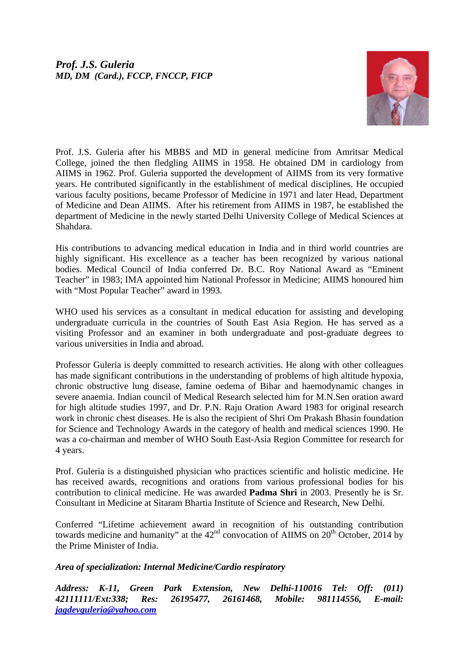

Prof. J.S. Guleria after his MBBS and MD in general medicine from Amritsar Medical College, joined the then fledgling AIIMS in 1958. He obtained DM in cardiology from AIIMS in 1962. Prof. Guleria supported the development of AIIMS from its very formative years. He contributed significantly in the establishment of medical disciplines. He occupied various faculty positions, became Professor of Medicine in 1971 and later Head, Department of Medicine and Dean AIIMS. After his retirement from AIIMS in 1987, he established the department of Medicine in the newly started Delhi University College of Medical Sciences at Shahdara.

His contributions to advancing medical education in India and in third world countries are highly significant. His excellence as a teacher has been recognized by various national bodies. Medical Council of India conferred Dr. B.C. Roy National Award as "Eminent Teacher" in 1983; IMA appointed him National Professor in Medicine; AIIMS honoured him with "Most Popular Teacher" award in 1993.

WHO used his services as a consultant in medical education for assisting and developing undergraduate curricula in the countries of South East Asia Region. He has served as a visiting Professor and an examiner in both undergraduate and post-graduate degrees to various universities in India and abroad.

Professor Guleria is deeply committed to research activities. He along with other colleagues has made significant contributions in the understanding of problems of high altitude hypoxia, chronic obstructive lung disease, famine oedema of Bihar and haemodynamic changes in severe anaemia. Indian council of Medical Research selected him for M.N.Sen oration award for high altitude studies 1997, and Dr. P.N. Raju Oration Award 1983 for original research work in chronic chest diseases. He is also the recipient of Shri Om Prakash Bhasin foundation for Science and Technology Awards in the category of health and medical sciences 1990. He was a co-chairman and member of WHO South East-Asia Region Committee for research for 4 years.

Prof. Guleria is a distinguished physician who practices scientific and holistic medicine. He has received awards, recognitions and orations from various professional bodies for his contribution to clinical medicine. He was awarded **Padma Shri** in 2003. Presently he is Sr. Consultant in Medicine at Sitaram Bhartia Institute of Science and Research, New Delhi.

Conferred "Lifetime achievement award in recognition of his outstanding contribution towards medicine and humanity" at the  $42<sup>nd</sup>$  convocation of AIIMS on  $20<sup>th</sup>$  October, 2014 by the Prime Minister of India.

## *Area of specialization: Internal Medicine/Cardio respiratory*

*Address: K-11, Green Park Extension, New Delhi-110016 Tel: Off: (011) 42111111/Ext:338; Res: 26195477, 26161468, Mobile: 981114556, E-mail: [jagdevguleria@yahoo.com](mailto:jagdevguleria@yahoo.com)*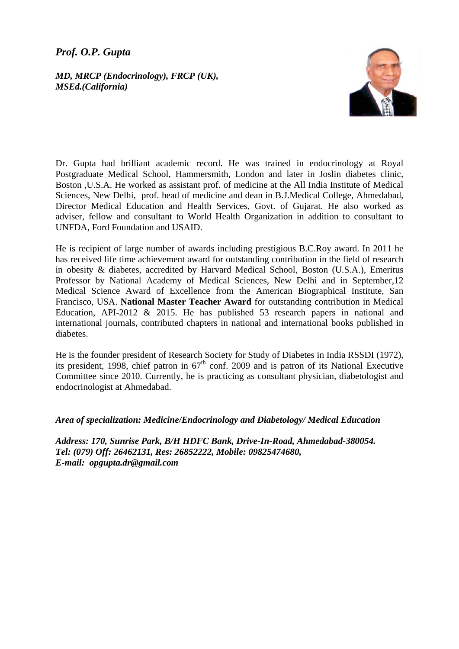# *Prof. O.P. Gupta*

#### *MD, MRCP (Endocrinology), FRCP (UK), MSEd.(California)*



Dr. Gupta had brilliant academic record. He was trained in endocrinology at Royal Postgraduate Medical School, Hammersmith, London and later in Joslin diabetes clinic, Boston ,U.S.A. He worked as assistant prof. of medicine at the All India Institute of Medical Sciences, New Delhi, prof. head of medicine and dean in B.J.Medical College, Ahmedabad, Director Medical Education and Health Services, Govt. of Gujarat. He also worked as adviser, fellow and consultant to World Health Organization in addition to consultant to UNFDA, Ford Foundation and USAID.

He is recipient of large number of awards including prestigious B.C.Roy award. In 2011 he has received life time achievement award for outstanding contribution in the field of research in obesity & diabetes, accredited by Harvard Medical School, Boston (U.S.A.), Emeritus Professor by National Academy of Medical Sciences, New Delhi and in September,12 Medical Science Award of Excellence from the American Biographical Institute, San Francisco, USA. **National Master Teacher Award** for outstanding contribution in Medical Education, API-2012 & 2015. He has published 53 research papers in national and international journals, contributed chapters in national and international books published in diabetes.

He is the founder president of Research Society for Study of Diabetes in India RSSDI (1972), its president, 1998, chief patron in  $67<sup>th</sup>$  conf. 2009 and is patron of its National Executive Committee since 2010. Currently, he is practicing as consultant physician, diabetologist and endocrinologist at Ahmedabad.

*Area of specialization: Medicine/Endocrinology and Diabetology/ Medical Education* 

*Address: 170, Sunrise Park, B/H HDFC Bank, Drive-In-Road, Ahmedabad-380054. Tel: (079) Off: 26462131, Res: 26852222, Mobile: 09825474680, E-mail: opgupta.dr@gmail.com*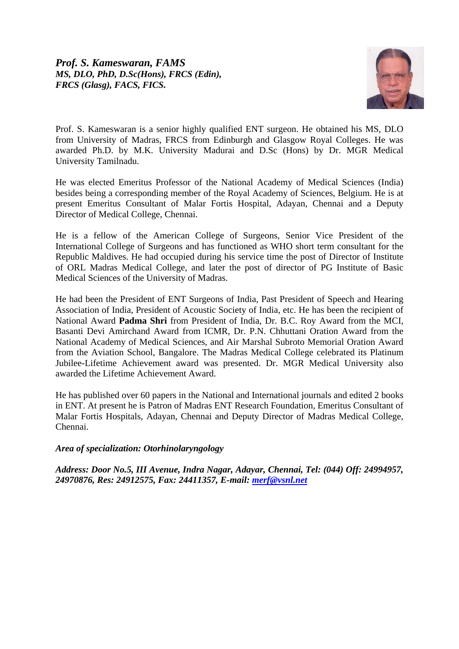

Prof. S. Kameswaran is a senior highly qualified ENT surgeon. He obtained his MS, DLO from University of Madras, FRCS from Edinburgh and Glasgow Royal Colleges. He was awarded Ph.D. by M.K. University Madurai and D.Sc (Hons) by Dr. MGR Medical University Tamilnadu.

He was elected Emeritus Professor of the National Academy of Medical Sciences (India) besides being a corresponding member of the Royal Academy of Sciences, Belgium. He is at present Emeritus Consultant of Malar Fortis Hospital, Adayan, Chennai and a Deputy Director of Medical College, Chennai.

He is a fellow of the American College of Surgeons, Senior Vice President of the International College of Surgeons and has functioned as WHO short term consultant for the Republic Maldives. He had occupied during his service time the post of Director of Institute of ORL Madras Medical College, and later the post of director of PG Institute of Basic Medical Sciences of the University of Madras.

He had been the President of ENT Surgeons of India, Past President of Speech and Hearing Association of India, President of Acoustic Society of India, etc. He has been the recipient of National Award **Padma Shri** from President of India, Dr. B.C. Roy Award from the MCI, Basanti Devi Amirchand Award from ICMR, Dr. P.N. Chhuttani Oration Award from the National Academy of Medical Sciences, and Air Marshal Subroto Memorial Oration Award from the Aviation School, Bangalore. The Madras Medical College celebrated its Platinum Jubilee-Lifetime Achievement award was presented. Dr. MGR Medical University also awarded the Lifetime Achievement Award.

He has published over 60 papers in the National and International journals and edited 2 books in ENT. At present he is Patron of Madras ENT Research Foundation, Emeritus Consultant of Malar Fortis Hospitals, Adayan, Chennai and Deputy Director of Madras Medical College, Chennai.

#### *Area of specialization: Otorhinolaryngology*

*Address: Door No.5, III Avenue, Indra Nagar, Adayar, Chennai, Tel: (044) Off: 24994957, 24970876, Res: 24912575, Fax: 24411357, E-mail: [merf@vsnl.net](mailto:merf@vsnl.net)*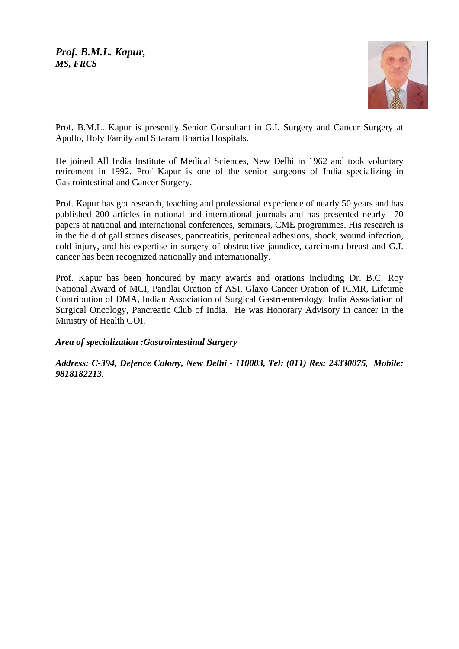*Prof. B.M.L. Kapur, MS, FRCS* 



Prof. B.M.L. Kapur is presently Senior Consultant in G.I. Surgery and Cancer Surgery at Apollo, Holy Family and Sitaram Bhartia Hospitals.

He joined All India Institute of Medical Sciences, New Delhi in 1962 and took voluntary retirement in 1992. Prof Kapur is one of the senior surgeons of India specializing in Gastrointestinal and Cancer Surgery.

Prof. Kapur has got research, teaching and professional experience of nearly 50 years and has published 200 articles in national and international journals and has presented nearly 170 papers at national and international conferences, seminars, CME programmes. His research is in the field of gall stones diseases, pancreatitis, peritoneal adhesions, shock, wound infection, cold injury, and his expertise in surgery of obstructive jaundice, carcinoma breast and G.I. cancer has been recognized nationally and internationally.

Prof. Kapur has been honoured by many awards and orations including Dr. B.C. Roy National Award of MCI, Pandlai Oration of ASI, Glaxo Cancer Oration of ICMR, Lifetime Contribution of DMA, Indian Association of Surgical Gastroenterology, India Association of Surgical Oncology, Pancreatic Club of India. He was Honorary Advisory in cancer in the Ministry of Health GOI.

*Area of specialization :Gastrointestinal Surgery* 

*Address: C-394, Defence Colony, New Delhi - 110003, Tel: (011) Res: 24330075, Mobile: 9818182213.*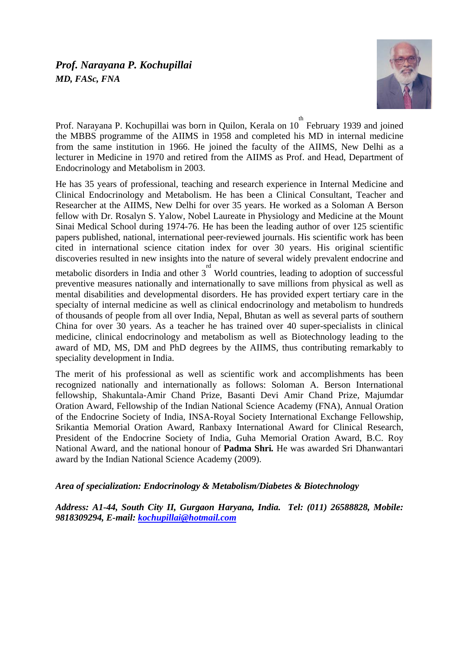# *Prof. Narayana P. Kochupillai MD, FASc, FNA*

speciality development in India.



Prof. Narayana P. Kochupillai was born in Quilon, Kerala on 10<sup>th</sup> February 1939 and joined the MBBS programme of the AIIMS in 1958 and completed his MD in internal medicine from the same institution in 1966. He joined the faculty of the AIIMS, New Delhi as a lecturer in Medicine in 1970 and retired from the AIIMS as Prof. and Head, Department of Endocrinology and Metabolism in 2003.

He has 35 years of professional, teaching and research experience in Internal Medicine and Clinical Endocrinology and Metabolism. He has been a Clinical Consultant, Teacher and Researcher at the AIIMS, New Delhi for over 35 years. He worked as a Soloman A Berson fellow with Dr. Rosalyn S. Yalow, Nobel Laureate in Physiology and Medicine at the Mount Sinai Medical School during 1974-76. He has been the leading author of over 125 scientific papers published, national, international peer-reviewed journals. His scientific work has been cited in international science citation index for over 30 years. His original scientific discoveries resulted in new insights into the nature of several widely prevalent endocrine and metabolic disorders in India and other  $3<sup>rd</sup>$  World countries, leading to adoption of successful preventive measures nationally and internationally to save millions from physical as well as mental disabilities and developmental disorders. He has provided expert tertiary care in the specialty of internal medicine as well as clinical endocrinology and metabolism to hundreds of thousands of people from all over India, Nepal, Bhutan as well as several parts of southern China for over 30 years. As a teacher he has trained over 40 super-specialists in clinical medicine, clinical endocrinology and metabolism as well as Biotechnology leading to the

The merit of his professional as well as scientific work and accomplishments has been recognized nationally and internationally as follows: Soloman A. Berson International fellowship, Shakuntala-Amir Chand Prize, Basanti Devi Amir Chand Prize, Majumdar Oration Award, Fellowship of the Indian National Science Academy (FNA), Annual Oration of the Endocrine Society of India, INSA-Royal Society International Exchange Fellowship, Srikantia Memorial Oration Award, Ranbaxy International Award for Clinical Research, President of the Endocrine Society of India, Guha Memorial Oration Award, B.C. Roy National Award, and the national honour of **Padma Shri***.* He was awarded Sri Dhanwantari award by the Indian National Science Academy (2009).

award of MD, MS, DM and PhD degrees by the AIIMS, thus contributing remarkably to

## *Area of specialization: Endocrinology & Metabolism/Diabetes & Biotechnology*

*Address: A1-44, South City II, Gurgaon Haryana, India. Tel: (011) 26588828, Mobile: 9818309294, E-mail: [kochupillai@hotmail.com](mailto:kochupillai@hotmail.com)*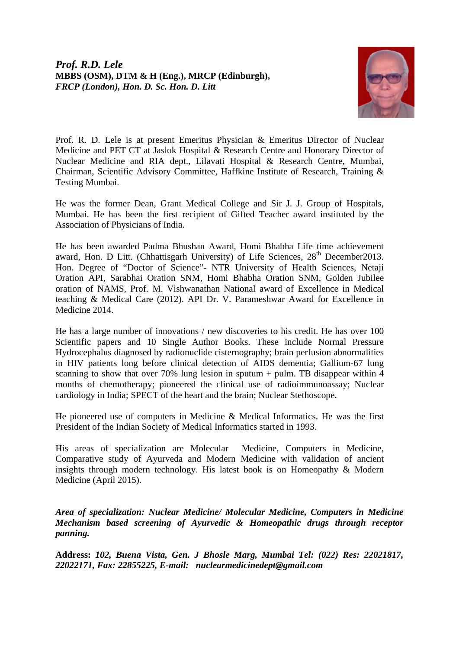*Prof. R.D. Lele*  **MBBS (OSM), DTM & H (Eng.), MRCP (Edinburgh),**  *FRCP (London), Hon. D. Sc. Hon. D. Litt*



Prof. R. D. Lele is at present Emeritus Physician & Emeritus Director of Nuclear Medicine and PET CT at Jaslok Hospital & Research Centre and Honorary Director of Nuclear Medicine and RIA dept., Lilavati Hospital & Research Centre, Mumbai, Chairman, Scientific Advisory Committee, Haffkine Institute of Research, Training & Testing Mumbai.

He was the former Dean, Grant Medical College and Sir J. J. Group of Hospitals, Mumbai. He has been the first recipient of Gifted Teacher award instituted by the Association of Physicians of India.

He has been awarded Padma Bhushan Award, Homi Bhabha Life time achievement award, Hon. D Litt. (Chhattisgarh University) of Life Sciences,  $28<sup>th</sup>$  December 2013. Hon. Degree of "Doctor of Science"- NTR University of Health Sciences, Netaji Oration API, Sarabhai Oration SNM, Homi Bhabha Oration SNM, Golden Jubilee oration of NAMS, Prof. M. Vishwanathan National award of Excellence in Medical teaching & Medical Care (2012). API Dr. V. Parameshwar Award for Excellence in Medicine 2014.

He has a large number of innovations / new discoveries to his credit. He has over 100 Scientific papers and 10 Single Author Books. These include Normal Pressure Hydrocephalus diagnosed by radionuclide cisternography; brain perfusion abnormalities in HIV patients long before clinical detection of AIDS dementia; Gallium-67 lung scanning to show that over 70% lung lesion in sputum + pulm. TB disappear within 4 months of chemotherapy; pioneered the clinical use of radioimmunoassay; Nuclear cardiology in India; SPECT of the heart and the brain; Nuclear Stethoscope.

He pioneered use of computers in Medicine & Medical Informatics. He was the first President of the Indian Society of Medical Informatics started in 1993.

His areas of specialization are Molecular Medicine, Computers in Medicine, Comparative study of Ayurveda and Modern Medicine with validation of ancient insights through modern technology. His latest book is on Homeopathy & Modern Medicine (April 2015).

*Area of specialization: Nuclear Medicine/ Molecular Medicine, Computers in Medicine Mechanism based screening of Ayurvedic & Homeopathic drugs through receptor panning.* 

**Address:** *102, Buena Vista, Gen. J Bhosle Marg, Mumbai Tel: (022) Res: 22021817, 22022171, Fax: 22855225, E-mail: [nuclearmedicinedept@gmail.com](mailto:nuclearmedicinedept@gmail.com)*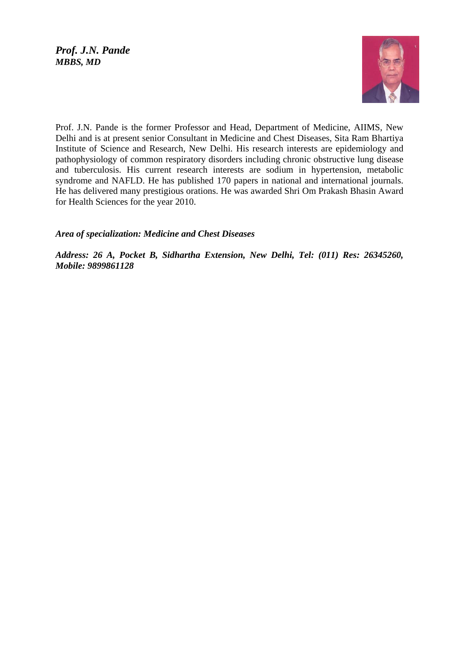## *Prof. J.N. Pande MBBS, MD*



Prof. J.N. Pande is the former Professor and Head, Department of Medicine, AIIMS, New Delhi and is at present senior Consultant in Medicine and Chest Diseases, Sita Ram Bhartiya Institute of Science and Research, New Delhi. His research interests are epidemiology and pathophysiology of common respiratory disorders including chronic obstructive lung disease and tuberculosis. His current research interests are sodium in hypertension, metabolic syndrome and NAFLD. He has published 170 papers in national and international journals. He has delivered many prestigious orations. He was awarded Shri Om Prakash Bhasin Award for Health Sciences for the year 2010.

## *Area of specialization: Medicine and Chest Diseases*

*Address: 26 A, Pocket B, Sidhartha Extension, New Delhi, Tel: (011) Res: 26345260, Mobile: 9899861128*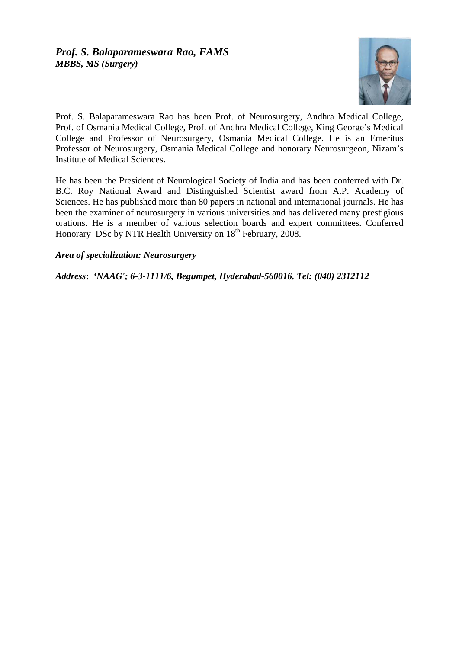

Prof. S. Balaparameswara Rao has been Prof. of Neurosurgery, Andhra Medical College, Prof. of Osmania Medical College, Prof. of Andhra Medical College, King George's Medical College and Professor of Neurosurgery, Osmania Medical College. He is an Emeritus Professor of Neurosurgery, Osmania Medical College and honorary Neurosurgeon, Nizam's Institute of Medical Sciences.

He has been the President of Neurological Society of India and has been conferred with Dr. B.C. Roy National Award and Distinguished Scientist award from A.P. Academy of Sciences. He has published more than 80 papers in national and international journals. He has been the examiner of neurosurgery in various universities and has delivered many prestigious orations. He is a member of various selection boards and expert committees. Conferred Honorary DSc by NTR Health University on  $18^{th}$  February, 2008.

*Area of specialization: Neurosurgery* 

*Address***:** *'NAAG'; 6-3-1111/6, Begumpet, Hyderabad-560016. Tel: (040) 2312112*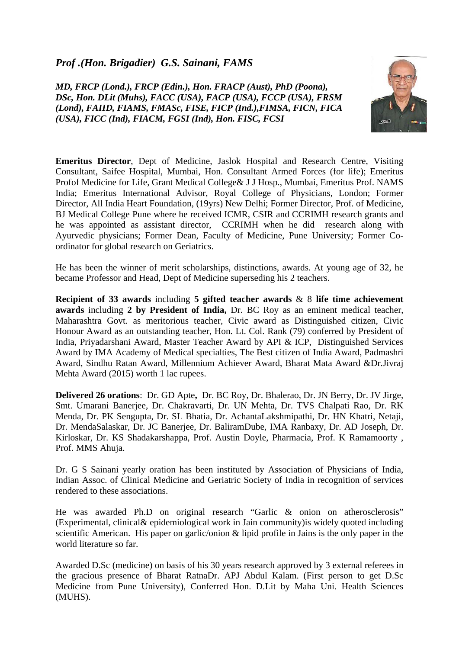# *Prof .(Hon. Brigadier) G.S. Sainani, FAMS*

*MD, FRCP (Lond.), FRCP (Edin.), Hon. FRACP (Aust), PhD (Poona), DSc, Hon. DLit (Muhs), FACC (USA), FACP (USA), FCCP (USA), FRSM (Lond), FAIID, FIAMS, FMASc, FISE, FICP (Ind.),FIMSA, FICN, FICA (USA), FICC (Ind), FIACM, FGSI (Ind), Hon. FISC, FCSI*



**Emeritus Director**, Dept of Medicine, Jaslok Hospital and Research Centre, Visiting Consultant, Saifee Hospital, Mumbai, Hon. Consultant Armed Forces (for life); Emeritus Profof Medicine for Life, Grant Medical College& J J Hosp., Mumbai, Emeritus Prof. NAMS India; Emeritus International Advisor, Royal College of Physicians, London; Former Director, All India Heart Foundation, (19yrs) New Delhi; Former Director, Prof. of Medicine, BJ Medical College Pune where he received ICMR, CSIR and CCRIMH research grants and he was appointed as assistant director, CCRIMH when he did research along with Ayurvedic physicians; Former Dean, Faculty of Medicine, Pune University; Former Coordinator for global research on Geriatrics.

He has been the winner of merit scholarships, distinctions, awards. At young age of 32, he became Professor and Head, Dept of Medicine superseding his 2 teachers.

**Recipient of 33 awards** including **5 gifted teacher awards** & 8 **life time achievement awards** including **2 by President of India,** Dr. BC Roy as an eminent medical teacher, Maharashtra Govt. as meritorious teacher, Civic award as Distinguished citizen, Civic Honour Award as an outstanding teacher, Hon. Lt. Col. Rank (79) conferred by President of India, Priyadarshani Award, Master Teacher Award by API & ICP, Distinguished Services Award by IMA Academy of Medical specialties, The Best citizen of India Award, Padmashri Award, Sindhu Ratan Award, Millennium Achiever Award, Bharat Mata Award &Dr.Jivraj Mehta Award (2015) worth 1 lac rupees.

**Delivered 26 orations**: Dr. GD Apte**,** Dr. BC Roy, Dr. Bhalerao, Dr. JN Berry, Dr. JV Jirge, Smt. Umarani Banerjee, Dr. Chakravarti, Dr. UN Mehta, Dr. TVS Chalpati Rao, Dr. RK Menda, Dr. PK Sengupta, Dr. SL Bhatia, Dr. AchantaLakshmipathi, Dr. HN Khatri, Netaji, Dr. MendaSalaskar, Dr. JC Banerjee, Dr. BaliramDube, IMA Ranbaxy, Dr. AD Joseph, Dr. Kirloskar, Dr. KS Shadakarshappa, Prof. Austin Doyle, Pharmacia, Prof. K Ramamoorty , Prof. MMS Ahuja.

Dr. G S Sainani yearly oration has been instituted by Association of Physicians of India, Indian Assoc. of Clinical Medicine and Geriatric Society of India in recognition of services rendered to these associations.

He was awarded Ph.D on original research "Garlic & onion on atherosclerosis" (Experimental, clinical& epidemiological work in Jain community)is widely quoted including scientific American. His paper on garlic/onion & lipid profile in Jains is the only paper in the world literature so far.

Awarded D.Sc (medicine) on basis of his 30 years research approved by 3 external referees in the gracious presence of Bharat RatnaDr. APJ Abdul Kalam. (First person to get D.Sc Medicine from Pune University), Conferred Hon. D.Lit by Maha Uni. Health Sciences (MUHS).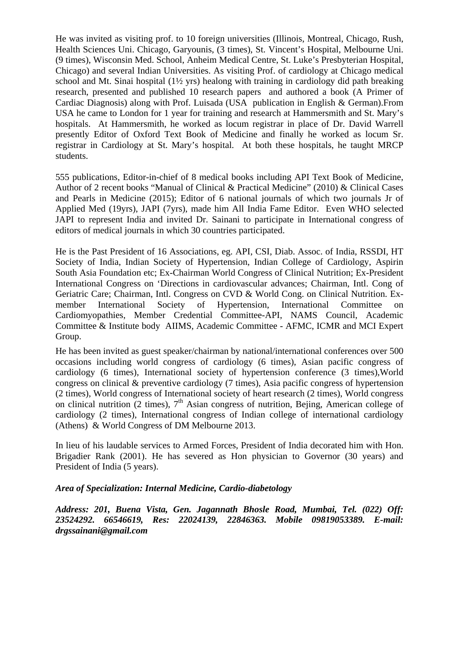He was invited as visiting prof. to 10 foreign universities (Illinois, Montreal, Chicago, Rush, Health Sciences Uni. Chicago, Garyounis, (3 times), St. Vincent's Hospital, Melbourne Uni. (9 times), Wisconsin Med. School, Anheim Medical Centre, St. Luke's Presbyterian Hospital, Chicago) and several Indian Universities. As visiting Prof. of cardiology at Chicago medical school and Mt. Sinai hospital (1½ yrs) healong with training in cardiology did path breaking research, presented and published 10 research papers and authored a book (A Primer of Cardiac Diagnosis) along with Prof. Luisada (USA publication in English & German).From USA he came to London for 1 year for training and research at Hammersmith and St. Mary's hospitals. At Hammersmith, he worked as locum registrar in place of Dr. David Warrell presently Editor of Oxford Text Book of Medicine and finally he worked as locum Sr. registrar in Cardiology at St. Mary's hospital. At both these hospitals, he taught MRCP students.

555 publications, Editor-in-chief of 8 medical books including API Text Book of Medicine, Author of 2 recent books "Manual of Clinical & Practical Medicine" (2010) & Clinical Cases and Pearls in Medicine (2015); Editor of 6 national journals of which two journals Jr of Applied Med (19yrs), JAPI (7yrs), made him All India Fame Editor. Even WHO selected JAPI to represent India and invited Dr. Sainani to participate in International congress of editors of medical journals in which 30 countries participated.

He is the Past President of 16 Associations, eg. API, CSI, Diab. Assoc. of India, RSSDI, HT Society of India, Indian Society of Hypertension, Indian College of Cardiology, Aspirin South Asia Foundation etc; Ex-Chairman World Congress of Clinical Nutrition; Ex-President International Congress on 'Directions in cardiovascular advances; Chairman, Intl. Cong of Geriatric Care; Chairman, Intl. Congress on CVD & World Cong. on Clinical Nutrition. Exmember International Society of Hypertension, International Committee on Cardiomyopathies, Member Credential Committee-API, NAMS Council, Academic Committee & Institute body AIIMS, Academic Committee - AFMC, ICMR and MCI Expert Group.

He has been invited as guest speaker/chairman by national/international conferences over 500 occasions including world congress of cardiology (6 times), Asian pacific congress of cardiology (6 times), International society of hypertension conference (3 times),World congress on clinical & preventive cardiology (7 times), Asia pacific congress of hypertension (2 times), World congress of International society of heart research (2 times), World congress on clinical nutrition (2 times),  $7<sup>th</sup>$  Asian congress of nutrition, Bejing, American college of cardiology (2 times), International congress of Indian college of international cardiology (Athens) & World Congress of DM Melbourne 2013.

In lieu of his laudable services to Armed Forces, President of India decorated him with Hon. Brigadier Rank (2001). He has severed as Hon physician to Governor (30 years) and President of India (5 years).

#### *Area of Specialization: Internal Medicine, Cardio-diabetology*

*Address: 201, Buena Vista, Gen. Jagannath Bhosle Road, Mumbai, Tel. (022) Off: 23524292. 66546619, Res: 22024139, 22846363. Mobile 09819053389. E-mail: drgssainani@gmail.com*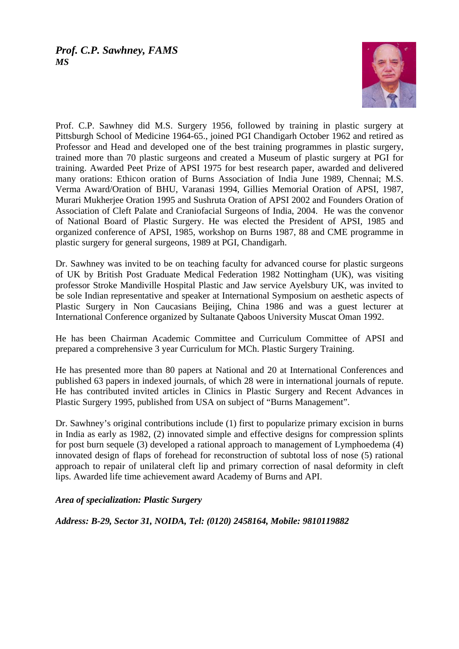

Prof. C.P. Sawhney did M.S. Surgery 1956, followed by training in plastic surgery at Pittsburgh School of Medicine 1964-65., joined PGI Chandigarh October 1962 and retired as Professor and Head and developed one of the best training programmes in plastic surgery, trained more than 70 plastic surgeons and created a Museum of plastic surgery at PGI for training. Awarded Peet Prize of APSI 1975 for best research paper, awarded and delivered many orations: Ethicon oration of Burns Association of India June 1989, Chennai; M.S. Verma Award/Oration of BHU, Varanasi 1994, Gillies Memorial Oration of APSI, 1987, Murari Mukherjee Oration 1995 and Sushruta Oration of APSI 2002 and Founders Oration of Association of Cleft Palate and Craniofacial Surgeons of India, 2004. He was the convenor of National Board of Plastic Surgery. He was elected the President of APSI, 1985 and organized conference of APSI, 1985, workshop on Burns 1987, 88 and CME programme in plastic surgery for general surgeons, 1989 at PGI, Chandigarh.

Dr. Sawhney was invited to be on teaching faculty for advanced course for plastic surgeons of UK by British Post Graduate Medical Federation 1982 Nottingham (UK), was visiting professor Stroke Mandiville Hospital Plastic and Jaw service Ayelsbury UK, was invited to be sole Indian representative and speaker at International Symposium on aesthetic aspects of Plastic Surgery in Non Caucasians Beijing, China 1986 and was a guest lecturer at International Conference organized by Sultanate Qaboos University Muscat Oman 1992.

He has been Chairman Academic Committee and Curriculum Committee of APSI and prepared a comprehensive 3 year Curriculum for MCh. Plastic Surgery Training.

He has presented more than 80 papers at National and 20 at International Conferences and published 63 papers in indexed journals, of which 28 were in international journals of repute. He has contributed invited articles in Clinics in Plastic Surgery and Recent Advances in Plastic Surgery 1995, published from USA on subject of "Burns Management".

Dr. Sawhney's original contributions include (1) first to popularize primary excision in burns in India as early as 1982, (2) innovated simple and effective designs for compression splints for post burn sequele (3) developed a rational approach to management of Lymphoedema (4) innovated design of flaps of forehead for reconstruction of subtotal loss of nose (5) rational approach to repair of unilateral cleft lip and primary correction of nasal deformity in cleft lips. Awarded life time achievement award Academy of Burns and API.

## *Area of specialization: Plastic Surgery*

*Address: B-29, Sector 31, NOIDA, Tel: (0120) 2458164, Mobile: 9810119882*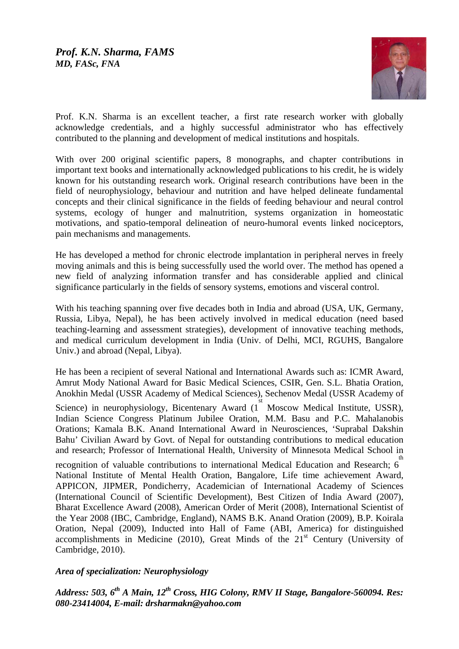

Prof. K.N. Sharma is an excellent teacher, a first rate research worker with globally acknowledge credentials, and a highly successful administrator who has effectively contributed to the planning and development of medical institutions and hospitals.

With over 200 original scientific papers, 8 monographs, and chapter contributions in important text books and internationally acknowledged publications to his credit, he is widely known for his outstanding research work. Original research contributions have been in the field of neurophysiology, behaviour and nutrition and have helped delineate fundamental concepts and their clinical significance in the fields of feeding behaviour and neural control systems, ecology of hunger and malnutrition, systems organization in homeostatic motivations, and spatio-temporal delineation of neuro-humoral events linked nociceptors, pain mechanisms and managements.

He has developed a method for chronic electrode implantation in peripheral nerves in freely moving animals and this is being successfully used the world over. The method has opened a new field of analyzing information transfer and has considerable applied and clinical significance particularly in the fields of sensory systems, emotions and visceral control.

With his teaching spanning over five decades both in India and abroad (USA, UK, Germany, Russia, Libya, Nepal), he has been actively involved in medical education (need based teaching-learning and assessment strategies), development of innovative teaching methods, and medical curriculum development in India (Univ. of Delhi, MCI, RGUHS, Bangalore Univ.) and abroad (Nepal, Libya).

He has been a recipient of several National and International Awards such as: ICMR Award, Amrut Mody National Award for Basic Medical Sciences, CSIR, Gen. S.L. Bhatia Oration, Anokhin Medal (USSR Academy of Medical Sciences), Sechenov Medal (USSR Academy of

Science) in neurophysiology, Bicentenary Award  $(i^{\text{st}})$  Moscow Medical Institute, USSR), Indian Science Congress Platinum Jubilee Oration, M.M. Basu and P.C. Mahalanobis Orations; Kamala B.K. Anand International Award in Neurosciences, 'Suprabal Dakshin Bahu' Civilian Award by Govt. of Nepal for outstanding contributions to medical education and research; Professor of International Health, University of Minnesota Medical School in

recognition of valuable contributions to international Medical Education and Research; 6<sup>th</sup> National Institute of Mental Health Oration, Bangalore, Life time achievement Award, APPICON, JIPMER, Pondicherry, Academician of International Academy of Sciences (International Council of Scientific Development), Best Citizen of India Award (2007), Bharat Excellence Award (2008), American Order of Merit (2008), International Scientist of the Year 2008 (IBC, Cambridge, England), NAMS B.K. Anand Oration (2009), B.P. Koirala Oration, Nepal (2009), Inducted into Hall of Fame (ABI, America) for distinguished accomplishments in Medicine (2010), Great Minds of the  $21<sup>st</sup>$  Century (University of Cambridge, 2010).

## *Area of specialization: Neurophysiology*

*Address: 503, 6th A Main, 12th Cross, HIG Colony, RMV II Stage, Bangalore-560094. Res: 080-23414004, E-mail: [drsharmakn@yahoo.com](mailto:drsharmakn@yahoo.com)*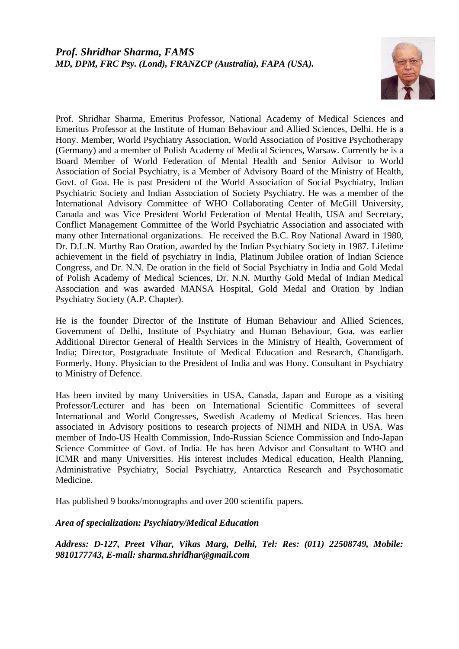

Prof. Shridhar Sharma, Emeritus Professor, National Academy of Medical Sciences and Emeritus Professor at the Institute of Human Behaviour and Allied Sciences, Delhi. He is a Hony. Member, World Psychiatry Association, World Association of Positive Psychotherapy (Germany) and a member of Polish Academy of Medical Sciences, Warsaw. Currently he is a Board Member of World Federation of Mental Health and Senior Advisor to World Association of Social Psychiatry, is a Member of Advisory Board of the Ministry of Health, Govt. of Goa. He is past President of the World Association of Social Psychiatry, Indian Psychiatric Society and Indian Association of Society Psychiatry. He was a member of the International Advisory Committee of WHO Collaborating Center of McGill University, Canada and was Vice President World Federation of Mental Health, USA and Secretary, Conflict Management Committee of the World Psychiatric Association and associated with many other International organizations. He received the B.C. Roy National Award in 1980, Dr. D.L.N. Murthy Rao Oration, awarded by the Indian Psychiatry Society in 1987. Lifetime achievement in the field of psychiatry in India, Platinum Jubilee oration of Indian Science Congress, and Dr. N.N. De oration in the field of Social Psychiatry in India and Gold Medal of Polish Academy of Medical Sciences, Dr. N.N. Murthy Gold Medal of Indian Medical Association and was awarded MANSA Hospital, Gold Medal and Oration by Indian Psychiatry Society (A.P. Chapter).

He is the founder Director of the Institute of Human Behaviour and Allied Sciences, Government of Delhi, Institute of Psychiatry and Human Behaviour, Goa, was earlier Additional Director General of Health Services in the Ministry of Health, Government of India; Director, Postgraduate Institute of Medical Education and Research, Chandigarh. Formerly, Hony. Physician to the President of India and was Hony. Consultant in Psychiatry to Ministry of Defence.

Has been invited by many Universities in USA, Canada, Japan and Europe as a visiting Professor/Lecturer and has been on International Scientific Committees of several International and World Congresses, Swedish Academy of Medical Sciences. Has been associated in Advisory positions to research projects of NIMH and NIDA in USA. Was member of Indo-US Health Commission, Indo-Russian Science Commission and Indo-Japan Science Committee of Govt. of India. He has been Advisor and Consultant to WHO and ICMR and many Universities. His interest includes Medical education, Health Planning, Administrative Psychiatry, Social Psychiatry, Antarctica Research and Psychosomatic Medicine.

Has published 9 books/monographs and over 200 scientific papers.

## *Area of specialization: Psychiatry/Medical Education*

*Address: D-127, Preet Vihar, Vikas Marg, Delhi, Tel: Res: (011) 22508749, Mobile: 9810177743, E-mail: sharma.shridhar@gmail.com*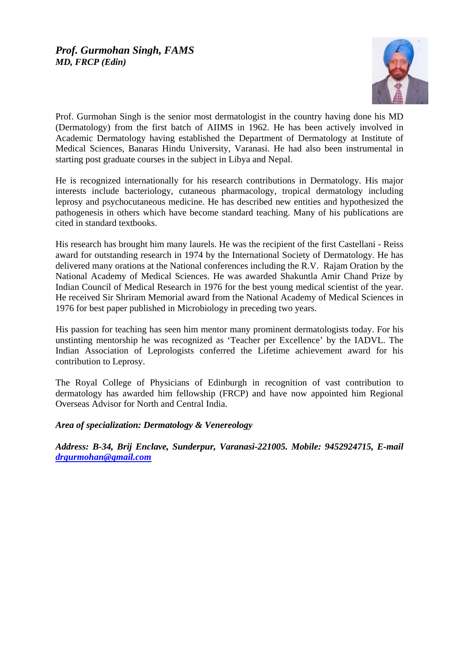

Prof. Gurmohan Singh is the senior most dermatologist in the country having done his MD (Dermatology) from the first batch of AIIMS in 1962. He has been actively involved in Academic Dermatology having established the Department of Dermatology at Institute of Medical Sciences, Banaras Hindu University, Varanasi. He had also been instrumental in starting post graduate courses in the subject in Libya and Nepal.

He is recognized internationally for his research contributions in Dermatology. His major interests include bacteriology, cutaneous pharmacology, tropical dermatology including leprosy and psychocutaneous medicine. He has described new entities and hypothesized the pathogenesis in others which have become standard teaching. Many of his publications are cited in standard textbooks.

His research has brought him many laurels. He was the recipient of the first Castellani - Reiss award for outstanding research in 1974 by the International Society of Dermatology. He has delivered many orations at the National conferences including the R.V. Rajam Oration by the National Academy of Medical Sciences. He was awarded Shakuntla Amir Chand Prize by Indian Council of Medical Research in 1976 for the best young medical scientist of the year. He received Sir Shriram Memorial award from the National Academy of Medical Sciences in 1976 for best paper published in Microbiology in preceding two years.

His passion for teaching has seen him mentor many prominent dermatologists today. For his unstinting mentorship he was recognized as 'Teacher per Excellence' by the IADVL. The Indian Association of Leprologists conferred the Lifetime achievement award for his contribution to Leprosy.

The Royal College of Physicians of Edinburgh in recognition of vast contribution to dermatology has awarded him fellowship (FRCP) and have now appointed him Regional Overseas Advisor for North and Central India.

## *Area of specialization: Dermatology & Venereology*

*Address: B-34, Brij Enclave, Sunderpur, Varanasi-221005. Mobile: 9452924715, E-mail [drgurmohan@gmail.com](mailto:drgurmohan@gmail.com)*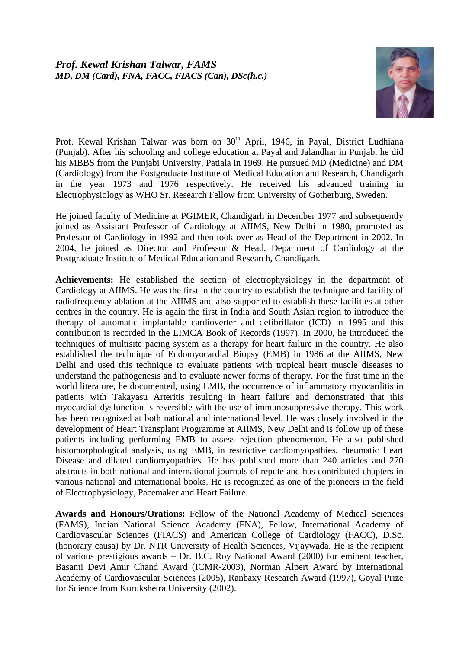

Prof. Kewal Krishan Talwar was born on 30<sup>th</sup> April, 1946, in Payal, District Ludhiana (Punjab). After his schooling and college education at Payal and Jalandhar in Punjab, he did his MBBS from the Punjabi University, Patiala in 1969. He pursued MD (Medicine) and DM (Cardiology) from the Postgraduate Institute of Medical Education and Research, Chandigarh in the year 1973 and 1976 respectively. He received his advanced training in Electrophysiology as WHO Sr. Research Fellow from University of Gotherburg, Sweden.

He joined faculty of Medicine at PGIMER, Chandigarh in December 1977 and subsequently joined as Assistant Professor of Cardiology at AIIMS, New Delhi in 1980, promoted as Professor of Cardiology in 1992 and then took over as Head of the Department in 2002. In 2004, he joined as Director and Professor & Head, Department of Cardiology at the Postgraduate Institute of Medical Education and Research, Chandigarh.

**Achievements:** He established the section of electrophysiology in the department of Cardiology at AIIMS. He was the first in the country to establish the technique and facility of radiofrequency ablation at the AIIMS and also supported to establish these facilities at other centres in the country. He is again the first in India and South Asian region to introduce the therapy of automatic implantable cardioverter and defibrillator (ICD) in 1995 and this contribution is recorded in the LIMCA Book of Records (1997). In 2000, he introduced the techniques of multisite pacing system as a therapy for heart failure in the country. He also established the technique of Endomyocardial Biopsy (EMB) in 1986 at the AIIMS, New Delhi and used this technique to evaluate patients with tropical heart muscle diseases to understand the pathogenesis and to evaluate newer forms of therapy. For the first time in the world literature, he documented, using EMB, the occurrence of inflammatory myocarditis in patients with Takayasu Arteritis resulting in heart failure and demonstrated that this myocardial dysfunction is reversible with the use of immunosuppressive therapy. This work has been recognized at both national and international level. He was closely involved in the development of Heart Transplant Programme at AIIMS, New Delhi and is follow up of these patients including performing EMB to assess rejection phenomenon. He also published histomorphological analysis, using EMB, in restrictive cardiomyopathies, rheumatic Heart Disease and dilated cardiomyopathies. He has published more than 240 articles and 270 abstracts in both national and international journals of repute and has contributed chapters in various national and international books. He is recognized as one of the pioneers in the field of Electrophysiology, Pacemaker and Heart Failure.

**Awards and Honours/Orations:** Fellow of the National Academy of Medical Sciences (FAMS), Indian National Science Academy (FNA), Fellow, International Academy of Cardiovascular Sciences (FIACS) and American College of Cardiology (FACC), D.Sc. (honorary causa) by Dr. NTR University of Health Sciences, Vijaywada. He is the recipient of various prestigious awards – Dr. B.C. Roy National Award (2000) for eminent teacher, Basanti Devi Amir Chand Award (ICMR-2003), Norman Alpert Award by International Academy of Cardiovascular Sciences (2005), Ranbaxy Research Award (1997), Goyal Prize for Science from Kurukshetra University (2002).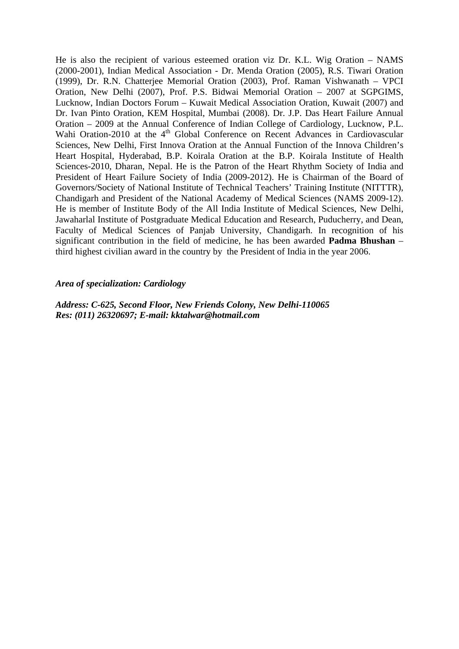He is also the recipient of various esteemed oration viz Dr. K.L. Wig Oration – NAMS (2000-2001), Indian Medical Association - Dr. Menda Oration (2005), R.S. Tiwari Oration (1999), Dr. R.N. Chatterjee Memorial Oration (2003), Prof. Raman Vishwanath – VPCI Oration, New Delhi (2007), Prof. P.S. Bidwai Memorial Oration – 2007 at SGPGIMS, Lucknow, Indian Doctors Forum – Kuwait Medical Association Oration, Kuwait (2007) and Dr. Ivan Pinto Oration, KEM Hospital, Mumbai (2008). Dr. J.P. Das Heart Failure Annual Oration – 2009 at the Annual Conference of Indian College of Cardiology, Lucknow, P.L. Wahi Oration-2010 at the 4<sup>th</sup> Global Conference on Recent Advances in Cardiovascular Sciences, New Delhi, First Innova Oration at the Annual Function of the Innova Children's Heart Hospital, Hyderabad, B.P. Koirala Oration at the B.P. Koirala Institute of Health Sciences-2010, Dharan, Nepal. He is the Patron of the Heart Rhythm Society of India and President of Heart Failure Society of India (2009-2012). He is Chairman of the Board of Governors/Society of National Institute of Technical Teachers' Training Institute (NITTTR), Chandigarh and President of the National Academy of Medical Sciences (NAMS 2009-12). He is member of Institute Body of the All India Institute of Medical Sciences, New Delhi, Jawaharlal Institute of Postgraduate Medical Education and Research, Puducherry, and Dean, Faculty of Medical Sciences of Panjab University, Chandigarh. In recognition of his significant contribution in the field of medicine, he has been awarded **Padma Bhushan** – third highest civilian award in the country by the President of India in the year 2006.

#### *Area of specialization: Cardiology*

*Address: C-625, Second Floor, New Friends Colony, New Delhi-110065 Res: (011) 26320697; E-mail: [kktalwar@hotmail.com](mailto:kktalwar@hotmail.com)*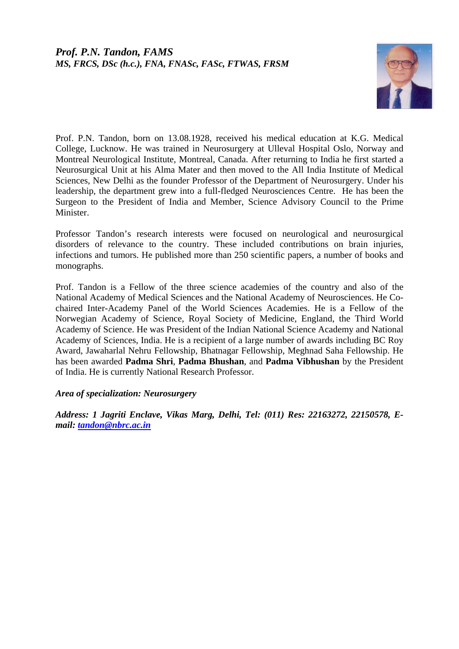

Prof. P.N. Tandon, born on 13.08.1928, received his medical education at K.G. Medical College, Lucknow. He was trained in Neurosurgery at Ulleval Hospital Oslo, Norway and Montreal Neurological Institute, Montreal, Canada. After returning to India he first started a Neurosurgical Unit at his Alma Mater and then moved to the All India Institute of Medical Sciences, New Delhi as the founder Professor of the Department of Neurosurgery. Under his leadership, the department grew into a full-fledged Neurosciences Centre. He has been the Surgeon to the President of India and Member, Science Advisory Council to the Prime Minister.

Professor Tandon's research interests were focused on neurological and neurosurgical disorders of relevance to the country. These included contributions on brain injuries, infections and tumors. He published more than 250 scientific papers, a number of books and monographs.

Prof. Tandon is a Fellow of the three science academies of the country and also of the National Academy of Medical Sciences and the National Academy of Neurosciences. He Cochaired Inter-Academy Panel of the World Sciences Academies. He is a Fellow of the Norwegian Academy of Science, Royal Society of Medicine, England, the Third World Academy of Science. He was President of the Indian National Science Academy and National Academy of Sciences, India. He is a recipient of a large number of awards including BC Roy Award, Jawaharlal Nehru Fellowship, Bhatnagar Fellowship, Meghnad Saha Fellowship. He has been awarded **Padma Shri**, **Padma Bhushan**, and **Padma Vibhushan** by the President of India. He is currently National Research Professor.

## *Area of specialization: Neurosurgery*

*Address: 1 Jagriti Enclave, Vikas Marg, Delhi, Tel: (011) Res: 22163272, 22150578, Email: [tandon@nbrc.ac.in](mailto:tandon@nbrc.ac.in)*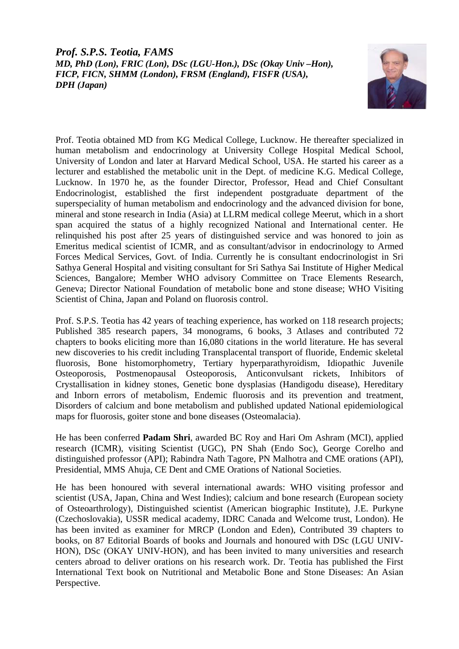*Prof. S.P.S. Teotia, FAMS MD, PhD (Lon), FRIC (Lon), DSc (LGU-Hon.), DSc (Okay Univ –Hon), FICP, FICN, SHMM (London), FRSM (England), FISFR (USA), DPH (Japan)* 



Prof. Teotia obtained MD from KG Medical College, Lucknow. He thereafter specialized in human metabolism and endocrinology at University College Hospital Medical School, University of London and later at Harvard Medical School, USA. He started his career as a lecturer and established the metabolic unit in the Dept. of medicine K.G. Medical College, Lucknow. In 1970 he, as the founder Director, Professor, Head and Chief Consultant Endocrinologist, established the first independent postgraduate department of the superspeciality of human metabolism and endocrinology and the advanced division for bone, mineral and stone research in India (Asia) at LLRM medical college Meerut, which in a short span acquired the status of a highly recognized National and International center. He relinquished his post after 25 years of distinguished service and was honored to join as Emeritus medical scientist of ICMR, and as consultant/advisor in endocrinology to Armed Forces Medical Services, Govt. of India. Currently he is consultant endocrinologist in Sri Sathya General Hospital and visiting consultant for Sri Sathya Sai Institute of Higher Medical Sciences, Bangalore; Member WHO advisory Committee on Trace Elements Research, Geneva; Director National Foundation of metabolic bone and stone disease; WHO Visiting Scientist of China, Japan and Poland on fluorosis control.

Prof. S.P.S. Teotia has 42 years of teaching experience, has worked on 118 research projects; Published 385 research papers, 34 monograms, 6 books, 3 Atlases and contributed 72 chapters to books eliciting more than 16,080 citations in the world literature. He has several new discoveries to his credit including Transplacental transport of fluoride, Endemic skeletal fluorosis, Bone histomorphometry, Tertiary hyperparathyroidism, Idiopathic Juvenile Osteoporosis, Postmenopausal Osteoporosis, Anticonvulsant rickets, Inhibitors of Crystallisation in kidney stones, Genetic bone dysplasias (Handigodu disease), Hereditary and Inborn errors of metabolism, Endemic fluorosis and its prevention and treatment, Disorders of calcium and bone metabolism and published updated National epidemiological maps for fluorosis, goiter stone and bone diseases (Osteomalacia).

He has been conferred **Padam Shri**, awarded BC Roy and Hari Om Ashram (MCI), applied research (ICMR), visiting Scientist (UGC), PN Shah (Endo Soc), George Corelho and distinguished professor (API); Rabindra Nath Tagore, PN Malhotra and CME orations (API), Presidential, MMS Ahuja, CE Dent and CME Orations of National Societies.

He has been honoured with several international awards: WHO visiting professor and scientist (USA, Japan, China and West Indies); calcium and bone research (European society of Osteoarthrology), Distinguished scientist (American biographic Institute), J.E. Purkyne (Czechoslovakia), USSR medical academy, IDRC Canada and Welcome trust, London). He has been invited as examiner for MRCP (London and Eden), Contributed 39 chapters to books, on 87 Editorial Boards of books and Journals and honoured with DSc (LGU UNIV-HON), DSc (OKAY UNIV-HON), and has been invited to many universities and research centers abroad to deliver orations on his research work. Dr. Teotia has published the First International Text book on Nutritional and Metabolic Bone and Stone Diseases: An Asian Perspective.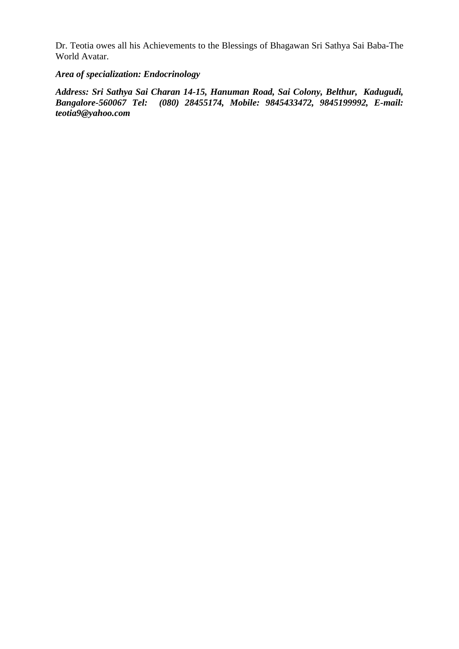Dr. Teotia owes all his Achievements to the Blessings of Bhagawan Sri Sathya Sai Baba-The World Avatar.

# *Area of specialization: Endocrinology*

*Address: Sri Sathya Sai Charan 14-15, Hanuman Road, Sai Colony, Belthur, Kadugudi, Bangalore-560067 Tel: (080) 28455174, Mobile: 9845433472, 9845199992, E-mail: teotia9@yahoo.com*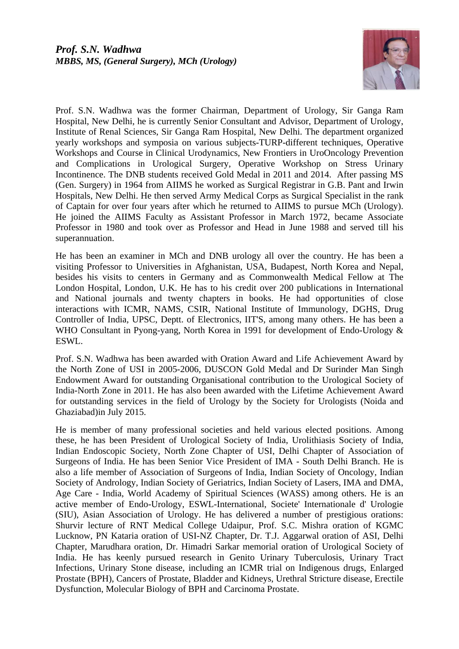

Prof. S.N. Wadhwa was the former Chairman, Department of Urology, Sir Ganga Ram Hospital, New Delhi, he is currently Senior Consultant and Advisor, Department of Urology, Institute of Renal Sciences, Sir Ganga Ram Hospital, New Delhi. The department organized yearly workshops and symposia on various subjects-TURP-different techniques, Operative Workshops and Course in Clinical Urodynamics, New Frontiers in UroOncology Prevention and Complications in Urological Surgery, Operative Workshop on Stress Urinary Incontinence. The DNB students received Gold Medal in 2011 and 2014. After passing MS (Gen. Surgery) in 1964 from AIIMS he worked as Surgical Registrar in G.B. Pant and Irwin Hospitals, New Delhi. He then served Army Medical Corps as Surgical Specialist in the rank of Captain for over four years after which he returned to AIIMS to pursue MCh (Urology). He joined the AIIMS Faculty as Assistant Professor in March 1972, became Associate Professor in 1980 and took over as Professor and Head in June 1988 and served till his superannuation.

He has been an examiner in MCh and DNB urology all over the country. He has been a visiting Professor to Universities in Afghanistan, USA, Budapest, North Korea and Nepal, besides his visits to centers in Germany and as Commonwealth Medical Fellow at The London Hospital, London, U.K. He has to his credit over 200 publications in International and National journals and twenty chapters in books. He had opportunities of close interactions with ICMR, NAMS, CSIR, National Institute of Immunology, DGHS, Drug Controller of India, UPSC, Deptt. of Electronics, IIT'S, among many others. He has been a WHO Consultant in Pyong-yang, North Korea in 1991 for development of Endo-Urology  $\&$ ESWL.

Prof. S.N. Wadhwa has been awarded with Oration Award and Life Achievement Award by the North Zone of USI in 2005-2006, DUSCON Gold Medal and Dr Surinder Man Singh Endowment Award for outstanding Organisational contribution to the Urological Society of India-North Zone in 2011. He has also been awarded with the Lifetime Achievement Award for outstanding services in the field of Urology by the Society for Urologists (Noida and Ghaziabad)in July 2015.

He is member of many professional societies and held various elected positions. Among these, he has been President of Urological Society of India, Urolithiasis Society of India, Indian Endoscopic Society, North Zone Chapter of USI, Delhi Chapter of Association of Surgeons of India. He has been Senior Vice President of IMA - South Delhi Branch. He is also a life member of Association of Surgeons of India, Indian Society of Oncology, Indian Society of Andrology, Indian Society of Geriatrics, Indian Society of Lasers, IMA and DMA, Age Care - India, World Academy of Spiritual Sciences (WASS) among others. He is an active member of Endo-Urology, ESWL-International, Societe' Internationale d' Urologie (SIU), Asian Association of Urology. He has delivered a number of prestigious orations: Shurvir lecture of RNT Medical College Udaipur, Prof. S.C. Mishra oration of KGMC Lucknow, PN Kataria oration of USI-NZ Chapter, Dr. T.J. Aggarwal oration of ASI, Delhi Chapter, Marudhara oration, Dr. Himadri Sarkar memorial oration of Urological Society of India. He has keenly pursued research in Genito Urinary Tuberculosis, Urinary Tract Infections, Urinary Stone disease, including an ICMR trial on Indigenous drugs, Enlarged Prostate (BPH), Cancers of Prostate, Bladder and Kidneys, Urethral Stricture disease, Erectile Dysfunction, Molecular Biology of BPH and Carcinoma Prostate.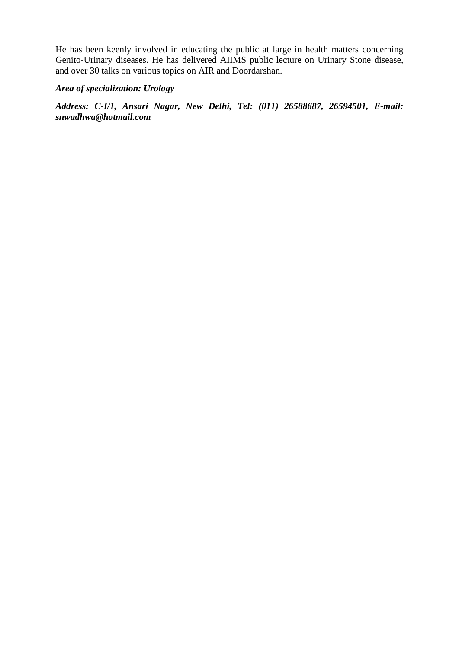He has been keenly involved in educating the public at large in health matters concerning Genito-Urinary diseases. He has delivered AIIMS public lecture on Urinary Stone disease, and over 30 talks on various topics on AIR and Doordarshan.

#### *Area of specialization: Urology*

*Address: C-I/1, Ansari Nagar, New Delhi, Tel: (011) 26588687, 26594501, E-mail: snwadhwa@hotmail.com*